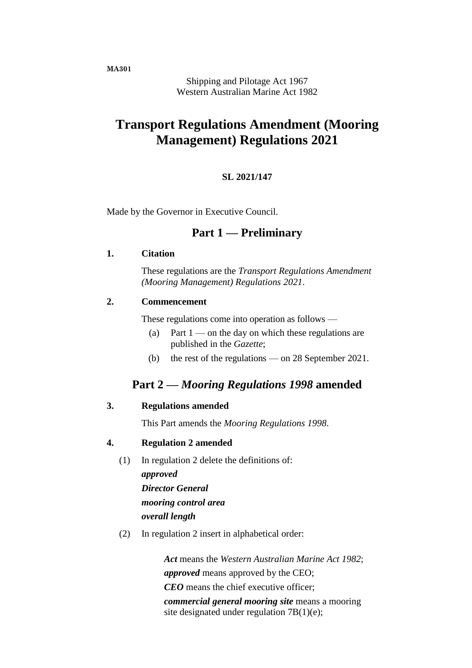**MA301**

Shipping and Pilotage Act 1967 Western Australian Marine Act 1982

# **Transport Regulations Amendment (Mooring Management) Regulations 2021**

#### **SL 2021/147**

Made by the Governor in Executive Council.

## **Part 1 — Preliminary**

#### **1. Citation**

These regulations are the *Transport Regulations Amendment (Mooring Management) Regulations 2021*.

#### **2. Commencement**

These regulations come into operation as follows —

- (a) Part  $1$  on the day on which these regulations are published in the *Gazette*;
- (b) the rest of the regulations on 28 September 2021.

## **Part 2 —** *Mooring Regulations 1998* **amended**

## **3. Regulations amended**

This Part amends the *Mooring Regulations 1998*.

## **4. Regulation 2 amended**

- (1) In regulation 2 delete the definitions of: *approved Director General mooring control area overall length*
- (2) In regulation 2 insert in alphabetical order:

*Act* means the *Western Australian Marine Act 1982*; *approved* means approved by the CEO; *CEO* means the chief executive officer; *commercial general mooring site* means a mooring site designated under regulation 7B(1)(e);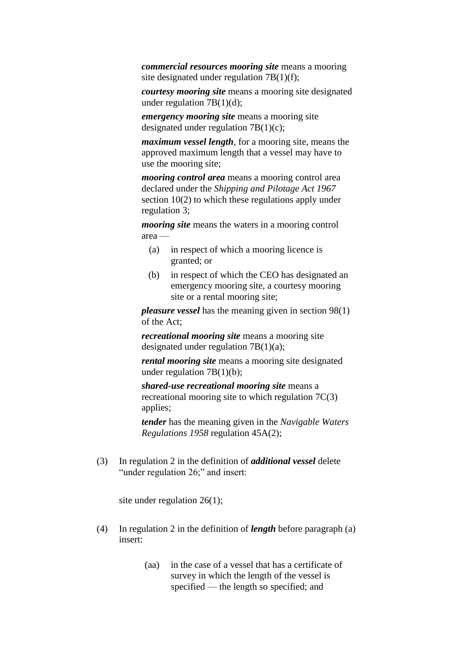*commercial resources mooring site* means a mooring site designated under regulation 7B(1)(f);

*courtesy mooring site* means a mooring site designated under regulation  $7B(1)(d)$ ;

*emergency mooring site* means a mooring site designated under regulation 7B(1)(c);

*maximum vessel length*, for a mooring site, means the approved maximum length that a vessel may have to use the mooring site;

*mooring control area* means a mooring control area declared under the *Shipping and Pilotage Act 1967* section 10(2) to which these regulations apply under regulation 3;

*mooring site* means the waters in a mooring control area —

- (a) in respect of which a mooring licence is granted; or
- (b) in respect of which the CEO has designated an emergency mooring site, a courtesy mooring site or a rental mooring site;

*pleasure vessel* has the meaning given in section 98(1) of the Act;

*recreational mooring site* means a mooring site designated under regulation  $7B(1)(a)$ ;

*rental mooring site* means a mooring site designated under regulation 7B(1)(b);

*shared-use recreational mooring site* means a recreational mooring site to which regulation 7C(3) applies;

*tender* has the meaning given in the *Navigable Waters Regulations 1958* regulation 45A(2);

(3) In regulation 2 in the definition of *additional vessel* delete "under regulation 26;" and insert:

site under regulation 26(1);

- (4) In regulation 2 in the definition of *length* before paragraph (a) insert:
	- (aa) in the case of a vessel that has a certificate of survey in which the length of the vessel is specified — the length so specified; and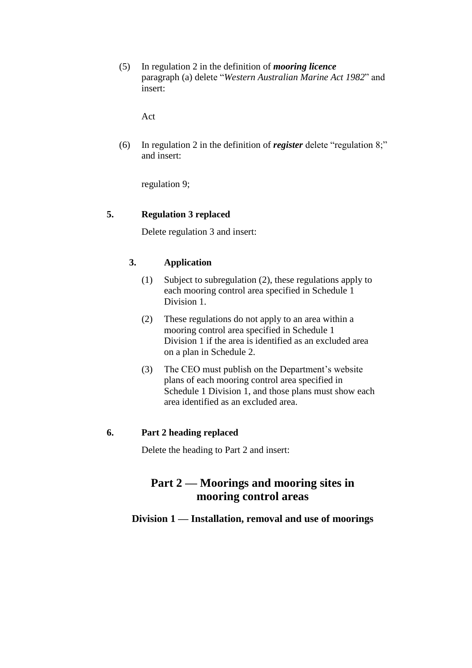(5) In regulation 2 in the definition of *mooring licence* paragraph (a) delete "*Western Australian Marine Act 1982*" and insert:

Act

(6) In regulation 2 in the definition of *register* delete "regulation 8;" and insert:

regulation 9;

## **5. Regulation 3 replaced**

Delete regulation 3 and insert:

## **3. Application**

- (1) Subject to subregulation (2), these regulations apply to each mooring control area specified in Schedule 1 Division 1.
- (2) These regulations do not apply to an area within a mooring control area specified in Schedule 1 Division 1 if the area is identified as an excluded area on a plan in Schedule 2.
- (3) The CEO must publish on the Department's website plans of each mooring control area specified in Schedule 1 Division 1, and those plans must show each area identified as an excluded area.

## **6. Part 2 heading replaced**

Delete the heading to Part 2 and insert:

# **Part 2 — Moorings and mooring sites in mooring control areas**

## **Division 1 — Installation, removal and use of moorings**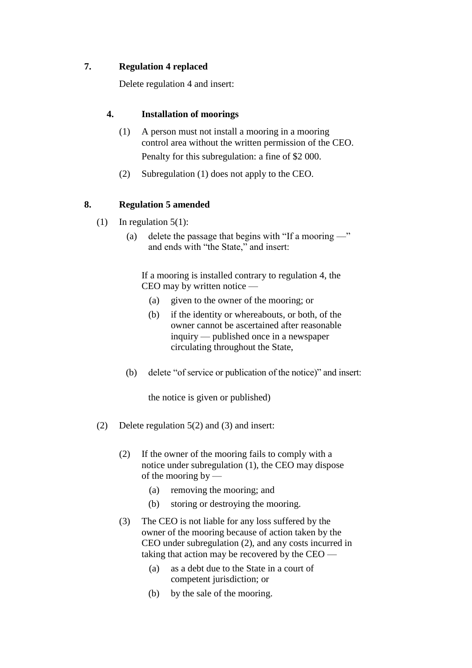## **7. Regulation 4 replaced**

Delete regulation 4 and insert:

## **4. Installation of moorings**

- (1) A person must not install a mooring in a mooring control area without the written permission of the CEO. Penalty for this subregulation: a fine of \$2 000.
- (2) Subregulation (1) does not apply to the CEO.

## **8. Regulation 5 amended**

- (1) In regulation  $5(1)$ :
	- (a) delete the passage that begins with "If a mooring  $\rightarrow$ " and ends with "the State," and insert:

If a mooring is installed contrary to regulation 4, the CEO may by written notice —

- (a) given to the owner of the mooring; or
- (b) if the identity or whereabouts, or both, of the owner cannot be ascertained after reasonable inquiry — published once in a newspaper circulating throughout the State,
- (b) delete "of service or publication of the notice)" and insert:

the notice is given or published)

- (2) Delete regulation 5(2) and (3) and insert:
	- (2) If the owner of the mooring fails to comply with a notice under subregulation (1), the CEO may dispose of the mooring by —
		- (a) removing the mooring; and
		- (b) storing or destroying the mooring.
	- (3) The CEO is not liable for any loss suffered by the owner of the mooring because of action taken by the CEO under subregulation (2), and any costs incurred in taking that action may be recovered by the CEO —
		- (a) as a debt due to the State in a court of competent jurisdiction; or
		- (b) by the sale of the mooring.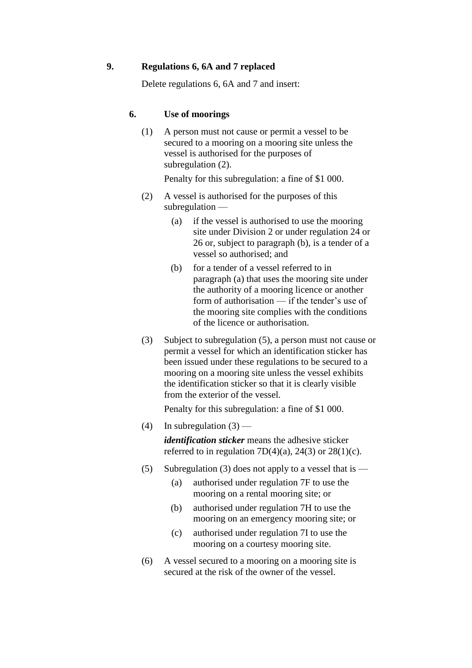## **9. Regulations 6, 6A and 7 replaced**

Delete regulations 6, 6A and 7 and insert:

#### **6. Use of moorings**

(1) A person must not cause or permit a vessel to be secured to a mooring on a mooring site unless the vessel is authorised for the purposes of subregulation (2).

Penalty for this subregulation: a fine of \$1 000.

- (2) A vessel is authorised for the purposes of this subregulation —
	- (a) if the vessel is authorised to use the mooring site under Division 2 or under regulation 24 or 26 or, subject to paragraph (b), is a tender of a vessel so authorised; and
	- (b) for a tender of a vessel referred to in paragraph (a) that uses the mooring site under the authority of a mooring licence or another form of authorisation — if the tender's use of the mooring site complies with the conditions of the licence or authorisation.
- (3) Subject to subregulation (5), a person must not cause or permit a vessel for which an identification sticker has been issued under these regulations to be secured to a mooring on a mooring site unless the vessel exhibits the identification sticker so that it is clearly visible from the exterior of the vessel.

Penalty for this subregulation: a fine of \$1 000.

- (4) In subregulation  $(3)$  *identification sticker* means the adhesive sticker referred to in regulation  $7D(4)(a)$ ,  $24(3)$  or  $28(1)(c)$ .
- (5) Subregulation (3) does not apply to a vessel that is  $-$ 
	- (a) authorised under regulation 7F to use the mooring on a rental mooring site; or
	- (b) authorised under regulation 7H to use the mooring on an emergency mooring site; or
	- (c) authorised under regulation 7I to use the mooring on a courtesy mooring site.
- (6) A vessel secured to a mooring on a mooring site is secured at the risk of the owner of the vessel.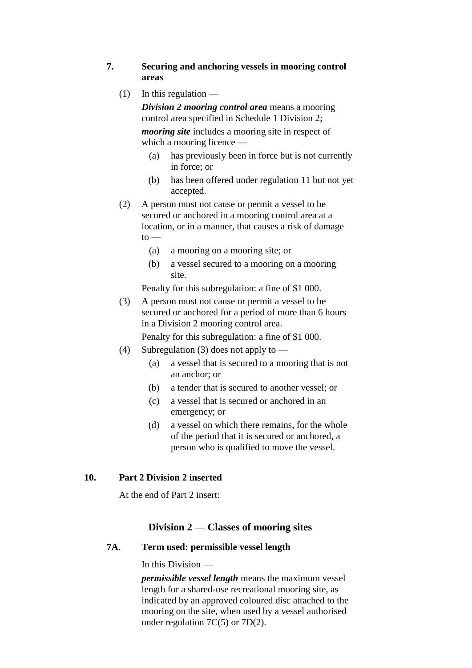## **7. Securing and anchoring vessels in mooring control areas**

 $(1)$  In this regulation —

*Division 2 mooring control area* means a mooring control area specified in Schedule 1 Division 2; *mooring site* includes a mooring site in respect of which a mooring licence —

- (a) has previously been in force but is not currently in force; or
- (b) has been offered under regulation 11 but not yet accepted.
- (2) A person must not cause or permit a vessel to be secured or anchored in a mooring control area at a location, or in a manner, that causes a risk of damage  $to$ 
	- (a) a mooring on a mooring site; or
	- (b) a vessel secured to a mooring on a mooring site.

Penalty for this subregulation: a fine of \$1 000.

(3) A person must not cause or permit a vessel to be secured or anchored for a period of more than 6 hours in a Division 2 mooring control area.

Penalty for this subregulation: a fine of \$1 000.

- (4) Subregulation (3) does not apply to
	- (a) a vessel that is secured to a mooring that is not an anchor; or
	- (b) a tender that is secured to another vessel; or
	- (c) a vessel that is secured or anchored in an emergency; or
	- (d) a vessel on which there remains, for the whole of the period that it is secured or anchored, a person who is qualified to move the vessel.

## **10. Part 2 Division 2 inserted**

At the end of Part 2 insert:

## **Division 2 — Classes of mooring sites**

## **7A. Term used: permissible vessel length**

In this Division —

*permissible vessel length* means the maximum vessel length for a shared-use recreational mooring site, as indicated by an approved coloured disc attached to the mooring on the site, when used by a vessel authorised under regulation 7C(5) or 7D(2).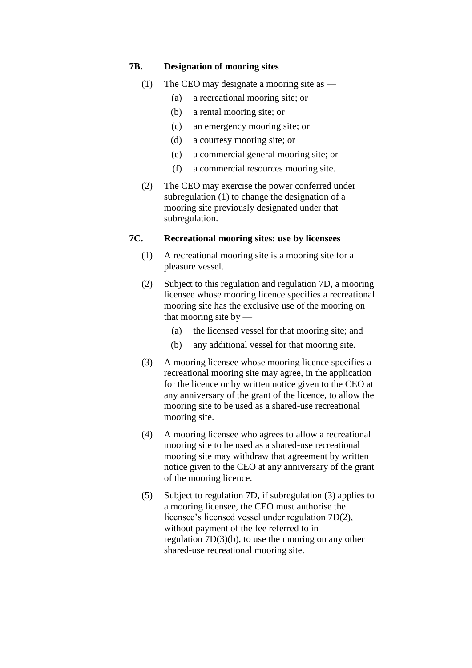#### **7B. Designation of mooring sites**

- (1) The CEO may designate a mooring site as
	- (a) a recreational mooring site; or
	- (b) a rental mooring site; or
	- (c) an emergency mooring site; or
	- (d) a courtesy mooring site; or
	- (e) a commercial general mooring site; or
	- (f) a commercial resources mooring site.
- (2) The CEO may exercise the power conferred under subregulation (1) to change the designation of a mooring site previously designated under that subregulation.

## **7C. Recreational mooring sites: use by licensees**

- (1) A recreational mooring site is a mooring site for a pleasure vessel.
- (2) Subject to this regulation and regulation 7D, a mooring licensee whose mooring licence specifies a recreational mooring site has the exclusive use of the mooring on that mooring site by —
	- (a) the licensed vessel for that mooring site; and
	- (b) any additional vessel for that mooring site.
- (3) A mooring licensee whose mooring licence specifies a recreational mooring site may agree, in the application for the licence or by written notice given to the CEO at any anniversary of the grant of the licence, to allow the mooring site to be used as a shared-use recreational mooring site.
- (4) A mooring licensee who agrees to allow a recreational mooring site to be used as a shared-use recreational mooring site may withdraw that agreement by written notice given to the CEO at any anniversary of the grant of the mooring licence.
- (5) Subject to regulation 7D, if subregulation (3) applies to a mooring licensee, the CEO must authorise the licensee's licensed vessel under regulation 7D(2), without payment of the fee referred to in regulation 7D(3)(b), to use the mooring on any other shared-use recreational mooring site.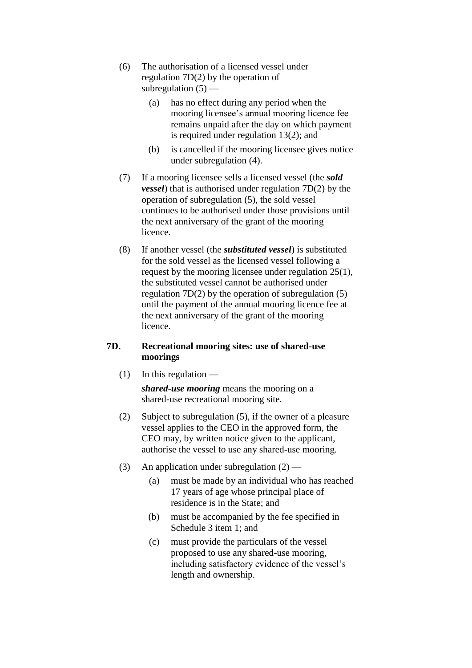- (6) The authorisation of a licensed vessel under regulation 7D(2) by the operation of subregulation  $(5)$  —
	- (a) has no effect during any period when the mooring licensee's annual mooring licence fee remains unpaid after the day on which payment is required under regulation 13(2); and
	- (b) is cancelled if the mooring licensee gives notice under subregulation (4).
- (7) If a mooring licensee sells a licensed vessel (the *sold vessel*) that is authorised under regulation 7D(2) by the operation of subregulation (5), the sold vessel continues to be authorised under those provisions until the next anniversary of the grant of the mooring licence.
- (8) If another vessel (the *substituted vessel*) is substituted for the sold vessel as the licensed vessel following a request by the mooring licensee under regulation 25(1), the substituted vessel cannot be authorised under regulation 7D(2) by the operation of subregulation (5) until the payment of the annual mooring licence fee at the next anniversary of the grant of the mooring licence.

## **7D. Recreational mooring sites: use of shared-use moorings**

 $(1)$  In this regulation —

*shared-use mooring* means the mooring on a shared-use recreational mooring site.

- (2) Subject to subregulation (5), if the owner of a pleasure vessel applies to the CEO in the approved form, the CEO may, by written notice given to the applicant, authorise the vessel to use any shared-use mooring.
- (3) An application under subregulation  $(2)$ 
	- (a) must be made by an individual who has reached 17 years of age whose principal place of residence is in the State; and
	- (b) must be accompanied by the fee specified in Schedule 3 item 1; and
	- (c) must provide the particulars of the vessel proposed to use any shared-use mooring, including satisfactory evidence of the vessel's length and ownership.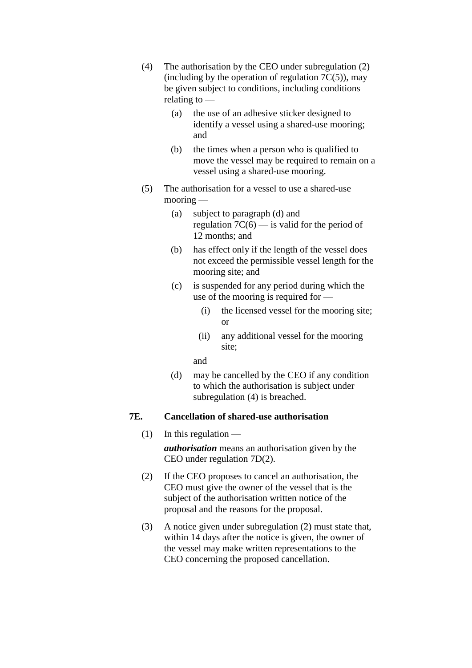- (4) The authorisation by the CEO under subregulation (2) (including by the operation of regulation  $7C(5)$ ), may be given subject to conditions, including conditions relating to —
	- (a) the use of an adhesive sticker designed to identify a vessel using a shared-use mooring; and
	- (b) the times when a person who is qualified to move the vessel may be required to remain on a vessel using a shared-use mooring.
- (5) The authorisation for a vessel to use a shared-use mooring —
	- (a) subject to paragraph (d) and regulation  $7C(6)$  — is valid for the period of 12 months; and
	- (b) has effect only if the length of the vessel does not exceed the permissible vessel length for the mooring site; and
	- (c) is suspended for any period during which the use of the mooring is required for —
		- (i) the licensed vessel for the mooring site; or
		- (ii) any additional vessel for the mooring site;

and

(d) may be cancelled by the CEO if any condition to which the authorisation is subject under subregulation (4) is breached.

## **7E. Cancellation of shared-use authorisation**

 $(1)$  In this regulation —

*authorisation* means an authorisation given by the CEO under regulation 7D(2).

- (2) If the CEO proposes to cancel an authorisation, the CEO must give the owner of the vessel that is the subject of the authorisation written notice of the proposal and the reasons for the proposal.
- (3) A notice given under subregulation (2) must state that, within 14 days after the notice is given, the owner of the vessel may make written representations to the CEO concerning the proposed cancellation.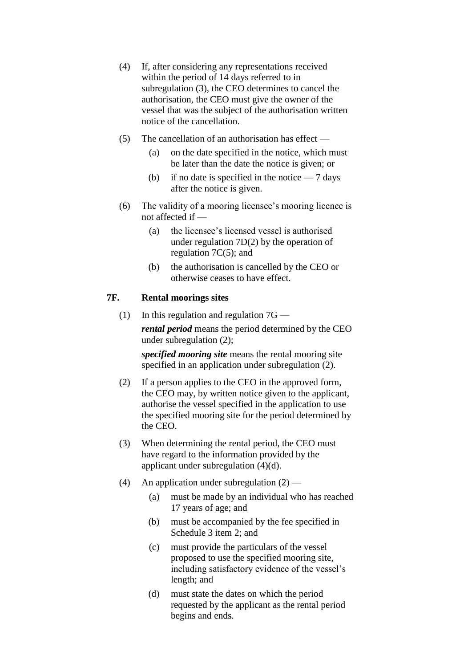- (4) If, after considering any representations received within the period of 14 days referred to in subregulation (3), the CEO determines to cancel the authorisation, the CEO must give the owner of the vessel that was the subject of the authorisation written notice of the cancellation.
- (5) The cancellation of an authorisation has effect
	- (a) on the date specified in the notice, which must be later than the date the notice is given; or
	- (b) if no date is specified in the notice  $-7$  days after the notice is given.
- (6) The validity of a mooring licensee's mooring licence is not affected if —
	- (a) the licensee's licensed vessel is authorised under regulation 7D(2) by the operation of regulation 7C(5); and
	- (b) the authorisation is cancelled by the CEO or otherwise ceases to have effect.

#### **7F. Rental moorings sites**

(1) In this regulation and regulation  $7G$  *rental period* means the period determined by the CEO under subregulation (2);

*specified mooring site* means the rental mooring site specified in an application under subregulation (2).

- (2) If a person applies to the CEO in the approved form, the CEO may, by written notice given to the applicant, authorise the vessel specified in the application to use the specified mooring site for the period determined by the CEO.
- (3) When determining the rental period, the CEO must have regard to the information provided by the applicant under subregulation (4)(d).
- (4) An application under subregulation  $(2)$ 
	- (a) must be made by an individual who has reached 17 years of age; and
	- (b) must be accompanied by the fee specified in Schedule 3 item 2; and
	- (c) must provide the particulars of the vessel proposed to use the specified mooring site, including satisfactory evidence of the vessel's length; and
	- (d) must state the dates on which the period requested by the applicant as the rental period begins and ends.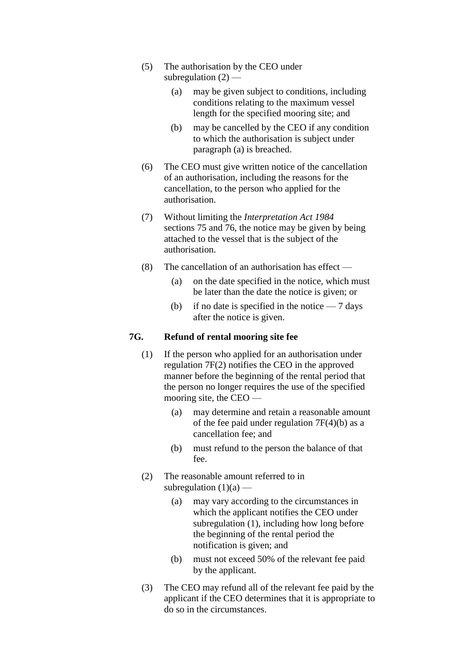- (5) The authorisation by the CEO under subregulation  $(2)$  —
	- (a) may be given subject to conditions, including conditions relating to the maximum vessel length for the specified mooring site; and
	- (b) may be cancelled by the CEO if any condition to which the authorisation is subject under paragraph (a) is breached.
- (6) The CEO must give written notice of the cancellation of an authorisation, including the reasons for the cancellation, to the person who applied for the authorisation.
- (7) Without limiting the *Interpretation Act 1984* sections 75 and 76, the notice may be given by being attached to the vessel that is the subject of the authorisation.
- (8) The cancellation of an authorisation has effect
	- (a) on the date specified in the notice, which must be later than the date the notice is given; or
	- (b) if no date is specified in the notice  $-7$  days after the notice is given.

## **7G. Refund of rental mooring site fee**

- (1) If the person who applied for an authorisation under regulation 7F(2) notifies the CEO in the approved manner before the beginning of the rental period that the person no longer requires the use of the specified mooring site, the CEO —
	- (a) may determine and retain a reasonable amount of the fee paid under regulation  $7F(4)(b)$  as a cancellation fee; and
	- (b) must refund to the person the balance of that fee.
- (2) The reasonable amount referred to in subregulation  $(1)(a)$  —
	- (a) may vary according to the circumstances in which the applicant notifies the CEO under subregulation (1), including how long before the beginning of the rental period the notification is given; and
	- (b) must not exceed 50% of the relevant fee paid by the applicant.
- (3) The CEO may refund all of the relevant fee paid by the applicant if the CEO determines that it is appropriate to do so in the circumstances.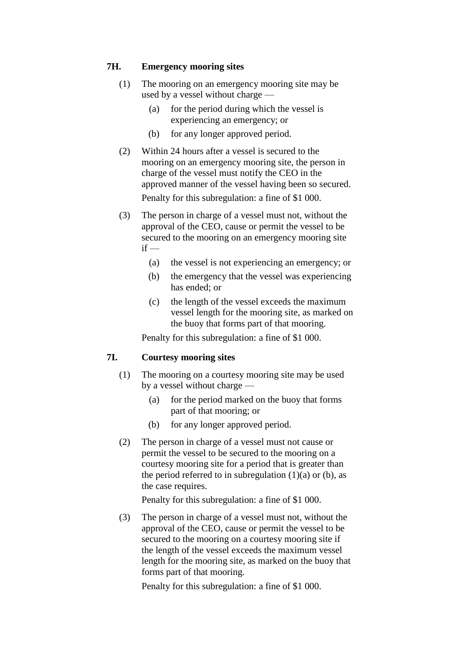## **7H. Emergency mooring sites**

- (1) The mooring on an emergency mooring site may be used by a vessel without charge —
	- (a) for the period during which the vessel is experiencing an emergency; or
	- (b) for any longer approved period.
- (2) Within 24 hours after a vessel is secured to the mooring on an emergency mooring site, the person in charge of the vessel must notify the CEO in the approved manner of the vessel having been so secured. Penalty for this subregulation: a fine of \$1 000.
- (3) The person in charge of a vessel must not, without the approval of the CEO, cause or permit the vessel to be secured to the mooring on an emergency mooring site  $if -$ 
	- (a) the vessel is not experiencing an emergency; or
	- (b) the emergency that the vessel was experiencing has ended; or
	- (c) the length of the vessel exceeds the maximum vessel length for the mooring site, as marked on the buoy that forms part of that mooring.

Penalty for this subregulation: a fine of \$1 000.

## **7I. Courtesy mooring sites**

- (1) The mooring on a courtesy mooring site may be used by a vessel without charge —
	- (a) for the period marked on the buoy that forms part of that mooring; or
	- (b) for any longer approved period.
- (2) The person in charge of a vessel must not cause or permit the vessel to be secured to the mooring on a courtesy mooring site for a period that is greater than the period referred to in subregulation  $(1)(a)$  or  $(b)$ , as the case requires.

Penalty for this subregulation: a fine of \$1 000.

(3) The person in charge of a vessel must not, without the approval of the CEO, cause or permit the vessel to be secured to the mooring on a courtesy mooring site if the length of the vessel exceeds the maximum vessel length for the mooring site, as marked on the buoy that forms part of that mooring.

Penalty for this subregulation: a fine of \$1 000.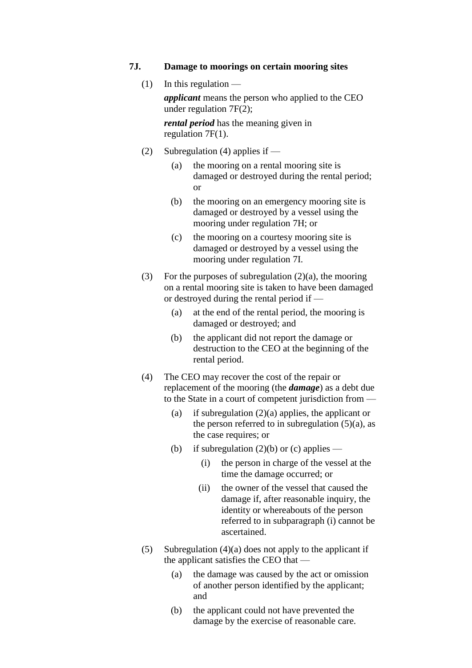#### **7J. Damage to moorings on certain mooring sites**

 $(1)$  In this regulation —

*applicant* means the person who applied to the CEO under regulation 7F(2);

*rental period* has the meaning given in regulation 7F(1).

- (2) Subregulation (4) applies if  $-$ 
	- (a) the mooring on a rental mooring site is damaged or destroyed during the rental period; or
	- (b) the mooring on an emergency mooring site is damaged or destroyed by a vessel using the mooring under regulation 7H; or
	- (c) the mooring on a courtesy mooring site is damaged or destroyed by a vessel using the mooring under regulation 7I.
- (3) For the purposes of subregulation  $(2)(a)$ , the mooring on a rental mooring site is taken to have been damaged or destroyed during the rental period if —
	- (a) at the end of the rental period, the mooring is damaged or destroyed; and
	- (b) the applicant did not report the damage or destruction to the CEO at the beginning of the rental period.
- (4) The CEO may recover the cost of the repair or replacement of the mooring (the *damage*) as a debt due to the State in a court of competent jurisdiction from —
	- (a) if subregulation  $(2)(a)$  applies, the applicant or the person referred to in subregulation  $(5)(a)$ , as the case requires; or
	- (b) if subregulation  $(2)(b)$  or (c) applies
		- (i) the person in charge of the vessel at the time the damage occurred; or
		- (ii) the owner of the vessel that caused the damage if, after reasonable inquiry, the identity or whereabouts of the person referred to in subparagraph (i) cannot be ascertained.
- (5) Subregulation  $(4)(a)$  does not apply to the applicant if the applicant satisfies the CEO that —
	- (a) the damage was caused by the act or omission of another person identified by the applicant; and
	- (b) the applicant could not have prevented the damage by the exercise of reasonable care.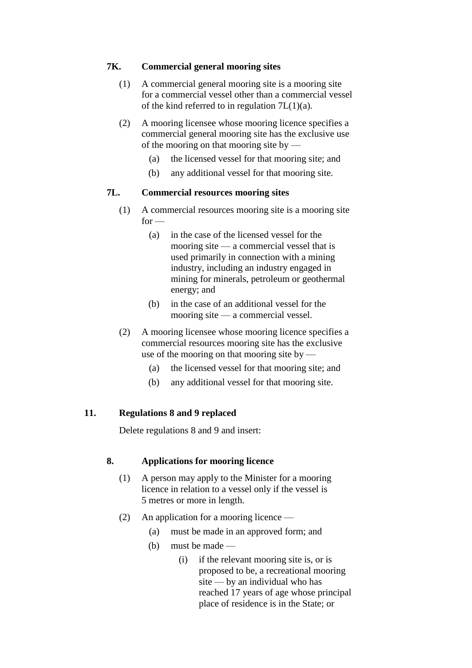## **7K. Commercial general mooring sites**

- (1) A commercial general mooring site is a mooring site for a commercial vessel other than a commercial vessel of the kind referred to in regulation  $7L(1)(a)$ .
- (2) A mooring licensee whose mooring licence specifies a commercial general mooring site has the exclusive use of the mooring on that mooring site by —
	- (a) the licensed vessel for that mooring site; and
	- (b) any additional vessel for that mooring site.

## **7L. Commercial resources mooring sites**

- (1) A commercial resources mooring site is a mooring site  $for -$ 
	- (a) in the case of the licensed vessel for the mooring site — a commercial vessel that is used primarily in connection with a mining industry, including an industry engaged in mining for minerals, petroleum or geothermal energy; and
	- (b) in the case of an additional vessel for the mooring site — a commercial vessel.
- (2) A mooring licensee whose mooring licence specifies a commercial resources mooring site has the exclusive use of the mooring on that mooring site by  $-$ 
	- (a) the licensed vessel for that mooring site; and
	- (b) any additional vessel for that mooring site.

## **11. Regulations 8 and 9 replaced**

Delete regulations 8 and 9 and insert:

## **8. Applications for mooring licence**

- (1) A person may apply to the Minister for a mooring licence in relation to a vessel only if the vessel is 5 metres or more in length.
- (2) An application for a mooring licence
	- (a) must be made in an approved form; and
	- (b) must be made
		- (i) if the relevant mooring site is, or is proposed to be, a recreational mooring site — by an individual who has reached 17 years of age whose principal place of residence is in the State; or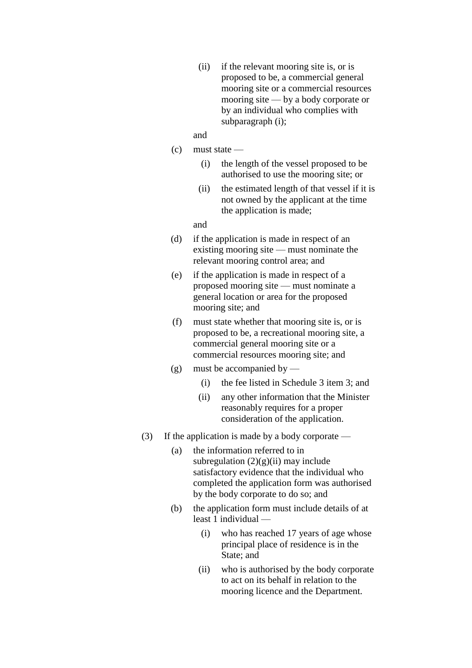- (ii) if the relevant mooring site is, or is proposed to be, a commercial general mooring site or a commercial resources mooring site — by a body corporate or by an individual who complies with subparagraph (i);
- and
- (c) must state
	- (i) the length of the vessel proposed to be authorised to use the mooring site; or
	- (ii) the estimated length of that vessel if it is not owned by the applicant at the time the application is made;

and

- (d) if the application is made in respect of an existing mooring site — must nominate the relevant mooring control area; and
- (e) if the application is made in respect of a proposed mooring site — must nominate a general location or area for the proposed mooring site; and
- (f) must state whether that mooring site is, or is proposed to be, a recreational mooring site, a commercial general mooring site or a commercial resources mooring site; and
- (g) must be accompanied by
	- (i) the fee listed in Schedule 3 item 3; and
	- (ii) any other information that the Minister reasonably requires for a proper consideration of the application.
- (3) If the application is made by a body corporate
	- (a) the information referred to in subregulation  $(2)(g)(ii)$  may include satisfactory evidence that the individual who completed the application form was authorised by the body corporate to do so; and
	- (b) the application form must include details of at least 1 individual —
		- (i) who has reached 17 years of age whose principal place of residence is in the State; and
		- (ii) who is authorised by the body corporate to act on its behalf in relation to the mooring licence and the Department.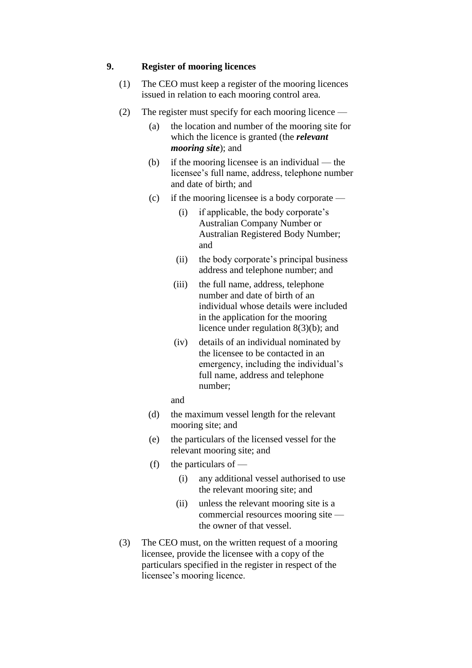## **9. Register of mooring licences**

- (1) The CEO must keep a register of the mooring licences issued in relation to each mooring control area.
- (2) The register must specify for each mooring licence
	- (a) the location and number of the mooring site for which the licence is granted (the *relevant mooring site*); and
	- (b) if the mooring licensee is an individual the licensee's full name, address, telephone number and date of birth; and
	- (c) if the mooring licensee is a body corporate
		- (i) if applicable, the body corporate's Australian Company Number or Australian Registered Body Number; and
		- (ii) the body corporate's principal business address and telephone number; and
		- (iii) the full name, address, telephone number and date of birth of an individual whose details were included in the application for the mooring licence under regulation 8(3)(b); and
		- (iv) details of an individual nominated by the licensee to be contacted in an emergency, including the individual's full name, address and telephone number;
		- and
	- (d) the maximum vessel length for the relevant mooring site; and
	- (e) the particulars of the licensed vessel for the relevant mooring site; and
	- (f) the particulars of  $-$ 
		- (i) any additional vessel authorised to use the relevant mooring site; and
		- (ii) unless the relevant mooring site is a commercial resources mooring site the owner of that vessel.
- (3) The CEO must, on the written request of a mooring licensee, provide the licensee with a copy of the particulars specified in the register in respect of the licensee's mooring licence.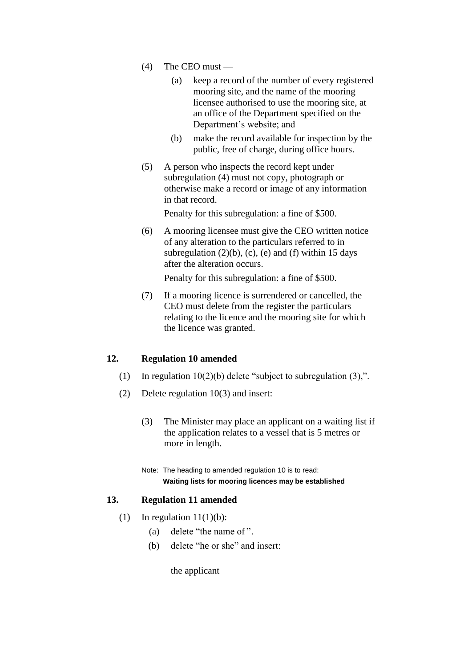- (4) The CEO must
	- (a) keep a record of the number of every registered mooring site, and the name of the mooring licensee authorised to use the mooring site, at an office of the Department specified on the Department's website; and
	- (b) make the record available for inspection by the public, free of charge, during office hours.
- (5) A person who inspects the record kept under subregulation (4) must not copy, photograph or otherwise make a record or image of any information in that record.

Penalty for this subregulation: a fine of \$500.

(6) A mooring licensee must give the CEO written notice of any alteration to the particulars referred to in subregulation  $(2)(b)$ ,  $(c)$ ,  $(e)$  and  $(f)$  within 15 days after the alteration occurs.

Penalty for this subregulation: a fine of \$500.

(7) If a mooring licence is surrendered or cancelled, the CEO must delete from the register the particulars relating to the licence and the mooring site for which the licence was granted.

## **12. Regulation 10 amended**

- (1) In regulation  $10(2)(b)$  delete "subject to subregulation  $(3)$ ,".
- (2) Delete regulation 10(3) and insert:
	- (3) The Minister may place an applicant on a waiting list if the application relates to a vessel that is 5 metres or more in length.
	- Note: The heading to amended regulation 10 is to read: **Waiting lists for mooring licences may be established**

## **13. Regulation 11 amended**

- (1) In regulation  $11(1)(b)$ :
	- (a) delete "the name of ".
	- (b) delete "he or she" and insert:

the applicant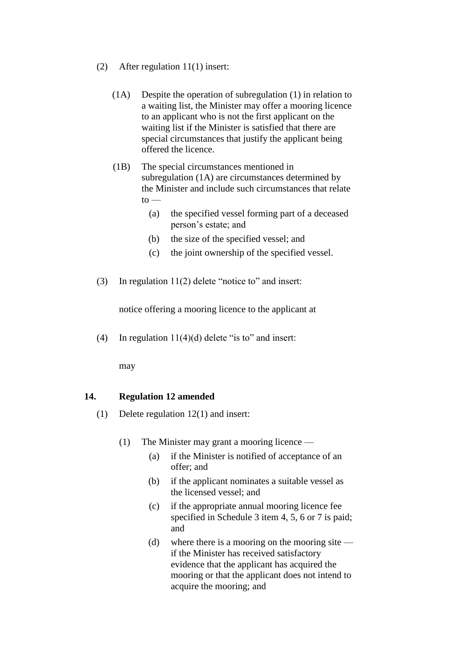- (2) After regulation 11(1) insert:
	- (1A) Despite the operation of subregulation (1) in relation to a waiting list, the Minister may offer a mooring licence to an applicant who is not the first applicant on the waiting list if the Minister is satisfied that there are special circumstances that justify the applicant being offered the licence.
	- (1B) The special circumstances mentioned in subregulation (1A) are circumstances determined by the Minister and include such circumstances that relate  $\mathsf{to}$  —
		- (a) the specified vessel forming part of a deceased person's estate; and
		- (b) the size of the specified vessel; and
		- (c) the joint ownership of the specified vessel.
- (3) In regulation 11(2) delete "notice to" and insert:

notice offering a mooring licence to the applicant at

(4) In regulation  $11(4)(d)$  delete "is to" and insert:

may

## **14. Regulation 12 amended**

- (1) Delete regulation 12(1) and insert:
	- (1) The Minister may grant a mooring licence
		- (a) if the Minister is notified of acceptance of an offer; and
		- (b) if the applicant nominates a suitable vessel as the licensed vessel; and
		- (c) if the appropriate annual mooring licence fee specified in Schedule 3 item 4, 5, 6 or 7 is paid; and
		- (d) where there is a mooring on the mooring site if the Minister has received satisfactory evidence that the applicant has acquired the mooring or that the applicant does not intend to acquire the mooring; and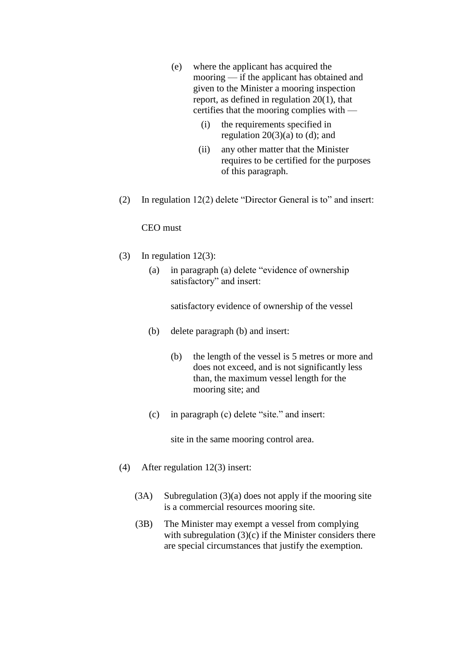- (e) where the applicant has acquired the mooring — if the applicant has obtained and given to the Minister a mooring inspection report, as defined in regulation 20(1), that certifies that the mooring complies with —
	- (i) the requirements specified in regulation  $20(3)(a)$  to (d); and
	- (ii) any other matter that the Minister requires to be certified for the purposes of this paragraph.
- (2) In regulation 12(2) delete "Director General is to" and insert:

CEO must

- (3) In regulation 12(3):
	- (a) in paragraph (a) delete "evidence of ownership satisfactory" and insert:

satisfactory evidence of ownership of the vessel

- (b) delete paragraph (b) and insert:
	- (b) the length of the vessel is 5 metres or more and does not exceed, and is not significantly less than, the maximum vessel length for the mooring site; and
- (c) in paragraph (c) delete "site." and insert:

site in the same mooring control area.

- (4) After regulation 12(3) insert:
	- (3A) Subregulation (3)(a) does not apply if the mooring site is a commercial resources mooring site.
	- (3B) The Minister may exempt a vessel from complying with subregulation  $(3)(c)$  if the Minister considers there are special circumstances that justify the exemption.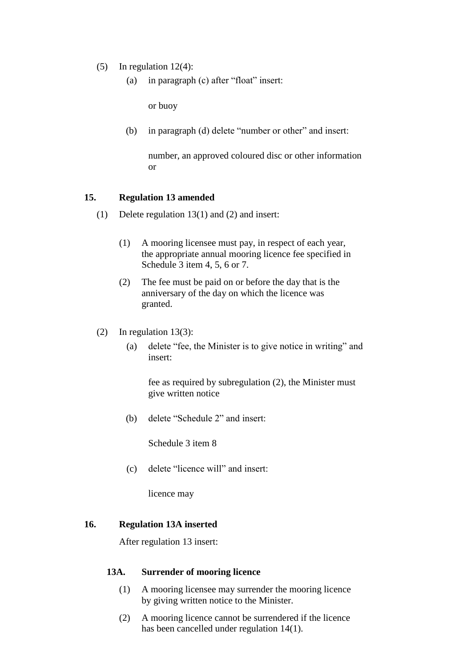- (5) In regulation  $12(4)$ :
	- (a) in paragraph (c) after "float" insert:

or buoy

(b) in paragraph (d) delete "number or other" and insert:

number, an approved coloured disc or other information or

#### **15. Regulation 13 amended**

- (1) Delete regulation 13(1) and (2) and insert:
	- (1) A mooring licensee must pay, in respect of each year, the appropriate annual mooring licence fee specified in Schedule 3 item 4, 5, 6 or 7.
	- (2) The fee must be paid on or before the day that is the anniversary of the day on which the licence was granted.
- (2) In regulation 13(3):
	- (a) delete "fee, the Minister is to give notice in writing" and insert:

fee as required by subregulation (2), the Minister must give written notice

(b) delete "Schedule 2" and insert:

Schedule 3 item 8

(c) delete "licence will" and insert:

licence may

#### **16. Regulation 13A inserted**

After regulation 13 insert:

#### **13A. Surrender of mooring licence**

- (1) A mooring licensee may surrender the mooring licence by giving written notice to the Minister.
- (2) A mooring licence cannot be surrendered if the licence has been cancelled under regulation 14(1).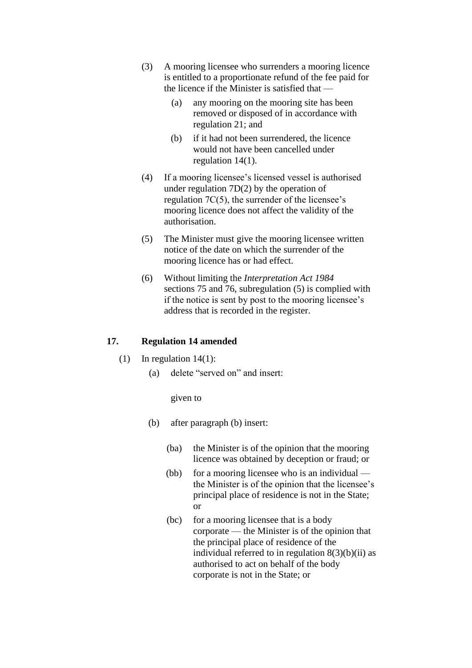- (3) A mooring licensee who surrenders a mooring licence is entitled to a proportionate refund of the fee paid for the licence if the Minister is satisfied that —
	- (a) any mooring on the mooring site has been removed or disposed of in accordance with regulation 21; and
	- (b) if it had not been surrendered, the licence would not have been cancelled under regulation 14(1).
- (4) If a mooring licensee's licensed vessel is authorised under regulation 7D(2) by the operation of regulation 7C(5), the surrender of the licensee's mooring licence does not affect the validity of the authorisation.
- (5) The Minister must give the mooring licensee written notice of the date on which the surrender of the mooring licence has or had effect.
- (6) Without limiting the *Interpretation Act 1984*  sections 75 and 76, subregulation (5) is complied with if the notice is sent by post to the mooring licensee's address that is recorded in the register.

## **17. Regulation 14 amended**

- (1) In regulation  $14(1)$ :
	- (a) delete "served on" and insert:

given to

- (b) after paragraph (b) insert:
	- (ba) the Minister is of the opinion that the mooring licence was obtained by deception or fraud; or
	- (bb) for a mooring licensee who is an individual the Minister is of the opinion that the licensee's principal place of residence is not in the State; or
	- (bc) for a mooring licensee that is a body corporate — the Minister is of the opinion that the principal place of residence of the individual referred to in regulation  $8(3)(b)(ii)$  as authorised to act on behalf of the body corporate is not in the State; or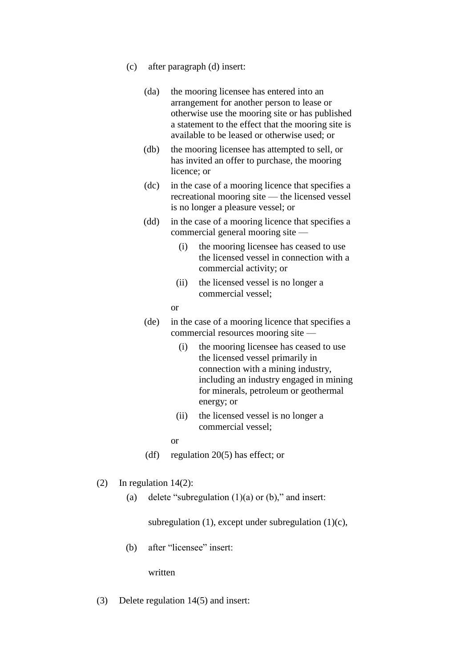- (c) after paragraph (d) insert:
	- (da) the mooring licensee has entered into an arrangement for another person to lease or otherwise use the mooring site or has published a statement to the effect that the mooring site is available to be leased or otherwise used; or
	- (db) the mooring licensee has attempted to sell, or has invited an offer to purchase, the mooring licence; or
	- (dc) in the case of a mooring licence that specifies a recreational mooring site — the licensed vessel is no longer a pleasure vessel; or
	- (dd) in the case of a mooring licence that specifies a commercial general mooring site —
		- (i) the mooring licensee has ceased to use the licensed vessel in connection with a commercial activity; or
		- (ii) the licensed vessel is no longer a commercial vessel;
		- or
	- (de) in the case of a mooring licence that specifies a commercial resources mooring site —
		- (i) the mooring licensee has ceased to use the licensed vessel primarily in connection with a mining industry, including an industry engaged in mining for minerals, petroleum or geothermal energy; or
		- (ii) the licensed vessel is no longer a commercial vessel;
		- or
	- (df) regulation 20(5) has effect; or

## (2) In regulation 14(2):

(a) delete "subregulation  $(1)(a)$  or  $(b)$ ," and insert:

subregulation (1), except under subregulation (1) $(c)$ ,

(b) after "licensee" insert:

written

(3) Delete regulation 14(5) and insert: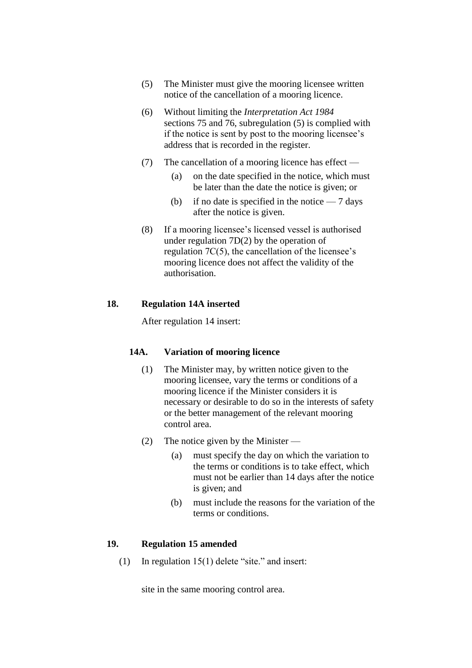- (5) The Minister must give the mooring licensee written notice of the cancellation of a mooring licence.
- (6) Without limiting the *Interpretation Act 1984* sections 75 and 76, subregulation (5) is complied with if the notice is sent by post to the mooring licensee's address that is recorded in the register.
- (7) The cancellation of a mooring licence has effect
	- (a) on the date specified in the notice, which must be later than the date the notice is given; or
	- (b) if no date is specified in the notice  $-7$  days after the notice is given.
- (8) If a mooring licensee's licensed vessel is authorised under regulation 7D(2) by the operation of regulation 7C(5), the cancellation of the licensee's mooring licence does not affect the validity of the authorisation.

## **18. Regulation 14A inserted**

After regulation 14 insert:

## **14A. Variation of mooring licence**

- (1) The Minister may, by written notice given to the mooring licensee, vary the terms or conditions of a mooring licence if the Minister considers it is necessary or desirable to do so in the interests of safety or the better management of the relevant mooring control area.
- (2) The notice given by the Minister
	- (a) must specify the day on which the variation to the terms or conditions is to take effect, which must not be earlier than 14 days after the notice is given; and
	- (b) must include the reasons for the variation of the terms or conditions.

#### **19. Regulation 15 amended**

(1) In regulation 15(1) delete "site." and insert:

site in the same mooring control area.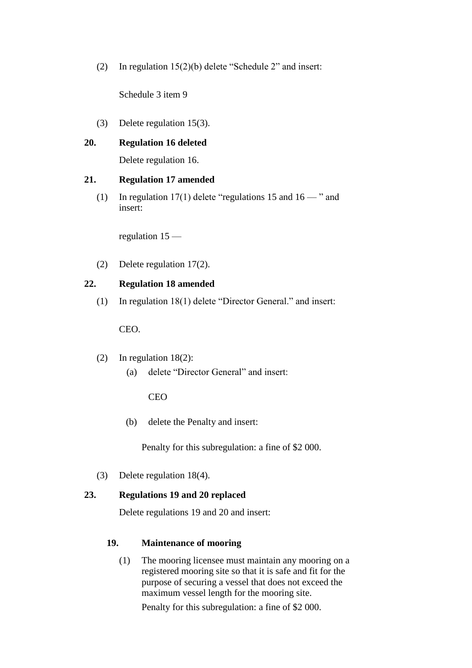(2) In regulation 15(2)(b) delete "Schedule 2" and insert:

Schedule 3 item 9

(3) Delete regulation 15(3).

## **20. Regulation 16 deleted**

Delete regulation 16.

## **21. Regulation 17 amended**

(1) In regulation 17(1) delete "regulations 15 and  $16 -$ " and insert:

regulation 15 —

(2) Delete regulation 17(2).

## **22. Regulation 18 amended**

(1) In regulation 18(1) delete "Director General." and insert:

CEO.

- (2) In regulation 18(2):
	- (a) delete "Director General" and insert:

CEO

(b) delete the Penalty and insert:

Penalty for this subregulation: a fine of \$2 000.

(3) Delete regulation 18(4).

## **23. Regulations 19 and 20 replaced**

Delete regulations 19 and 20 and insert:

## **19. Maintenance of mooring**

(1) The mooring licensee must maintain any mooring on a registered mooring site so that it is safe and fit for the purpose of securing a vessel that does not exceed the maximum vessel length for the mooring site.

Penalty for this subregulation: a fine of \$2 000.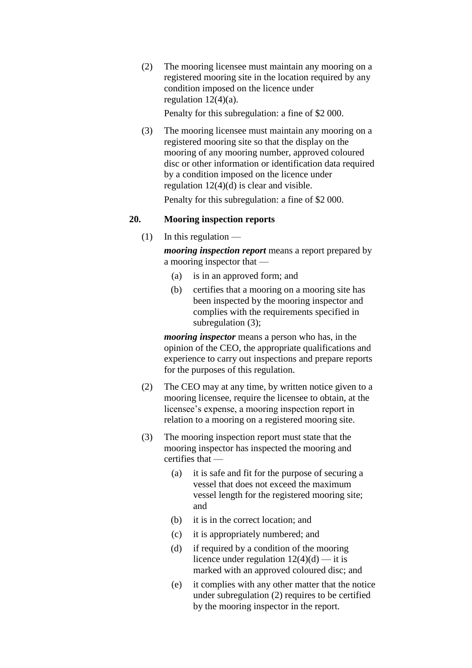(2) The mooring licensee must maintain any mooring on a registered mooring site in the location required by any condition imposed on the licence under regulation  $12(4)(a)$ .

Penalty for this subregulation: a fine of \$2 000.

(3) The mooring licensee must maintain any mooring on a registered mooring site so that the display on the mooring of any mooring number, approved coloured disc or other information or identification data required by a condition imposed on the licence under regulation 12(4)(d) is clear and visible.

Penalty for this subregulation: a fine of \$2 000.

## **20. Mooring inspection reports**

 $(1)$  In this regulation —

*mooring inspection report* means a report prepared by a mooring inspector that —

- (a) is in an approved form; and
- (b) certifies that a mooring on a mooring site has been inspected by the mooring inspector and complies with the requirements specified in subregulation (3);

*mooring inspector* means a person who has, in the opinion of the CEO, the appropriate qualifications and experience to carry out inspections and prepare reports for the purposes of this regulation.

- (2) The CEO may at any time, by written notice given to a mooring licensee, require the licensee to obtain, at the licensee's expense, a mooring inspection report in relation to a mooring on a registered mooring site.
- (3) The mooring inspection report must state that the mooring inspector has inspected the mooring and certifies that —
	- (a) it is safe and fit for the purpose of securing a vessel that does not exceed the maximum vessel length for the registered mooring site; and
	- (b) it is in the correct location; and
	- (c) it is appropriately numbered; and
	- (d) if required by a condition of the mooring licence under regulation  $12(4)(d)$  — it is marked with an approved coloured disc; and
	- (e) it complies with any other matter that the notice under subregulation (2) requires to be certified by the mooring inspector in the report.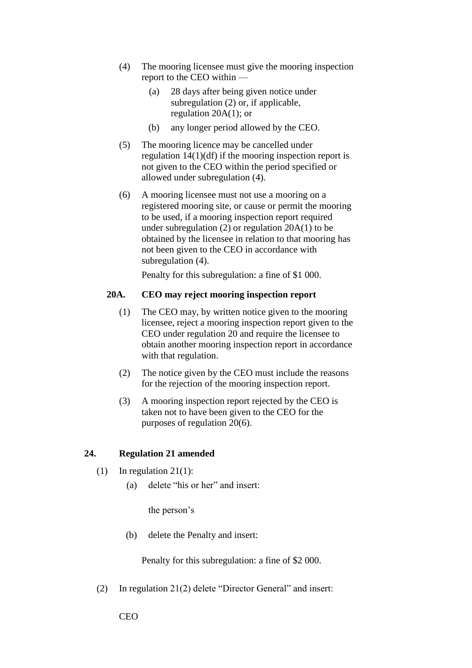- (4) The mooring licensee must give the mooring inspection report to the CEO within —
	- (a) 28 days after being given notice under subregulation (2) or, if applicable, regulation 20A(1); or
	- (b) any longer period allowed by the CEO.
- (5) The mooring licence may be cancelled under regulation 14(1)(df) if the mooring inspection report is not given to the CEO within the period specified or allowed under subregulation (4).
- (6) A mooring licensee must not use a mooring on a registered mooring site, or cause or permit the mooring to be used, if a mooring inspection report required under subregulation (2) or regulation 20A(1) to be obtained by the licensee in relation to that mooring has not been given to the CEO in accordance with subregulation  $(4)$ .

Penalty for this subregulation: a fine of \$1 000.

#### **20A. CEO may reject mooring inspection report**

- (1) The CEO may, by written notice given to the mooring licensee, reject a mooring inspection report given to the CEO under regulation 20 and require the licensee to obtain another mooring inspection report in accordance with that regulation.
- (2) The notice given by the CEO must include the reasons for the rejection of the mooring inspection report.
- (3) A mooring inspection report rejected by the CEO is taken not to have been given to the CEO for the purposes of regulation 20(6).

## **24. Regulation 21 amended**

- (1) In regulation  $21(1)$ :
	- (a) delete "his or her" and insert:

the person's

(b) delete the Penalty and insert:

Penalty for this subregulation: a fine of \$2 000.

(2) In regulation 21(2) delete "Director General" and insert:

CEO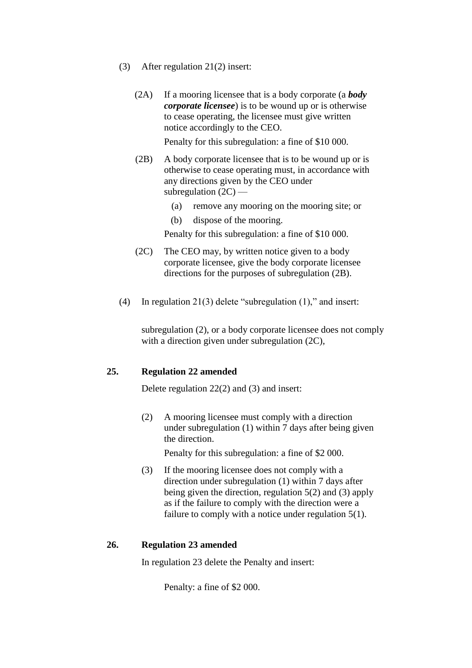- (3) After regulation 21(2) insert:
	- (2A) If a mooring licensee that is a body corporate (a *body corporate licensee*) is to be wound up or is otherwise to cease operating, the licensee must give written notice accordingly to the CEO.

Penalty for this subregulation: a fine of \$10 000.

- (2B) A body corporate licensee that is to be wound up or is otherwise to cease operating must, in accordance with any directions given by the CEO under subregulation  $(2C)$  —
	- (a) remove any mooring on the mooring site; or
	- (b) dispose of the mooring.

Penalty for this subregulation: a fine of \$10 000.

- (2C) The CEO may, by written notice given to a body corporate licensee, give the body corporate licensee directions for the purposes of subregulation (2B).
- (4) In regulation 21(3) delete "subregulation (1)," and insert:

subregulation (2), or a body corporate licensee does not comply with a direction given under subregulation (2C),

#### **25. Regulation 22 amended**

Delete regulation 22(2) and (3) and insert:

(2) A mooring licensee must comply with a direction under subregulation (1) within 7 days after being given the direction.

Penalty for this subregulation: a fine of \$2 000.

(3) If the mooring licensee does not comply with a direction under subregulation (1) within 7 days after being given the direction, regulation 5(2) and (3) apply as if the failure to comply with the direction were a failure to comply with a notice under regulation 5(1).

#### **26. Regulation 23 amended**

In regulation 23 delete the Penalty and insert:

Penalty: a fine of \$2 000.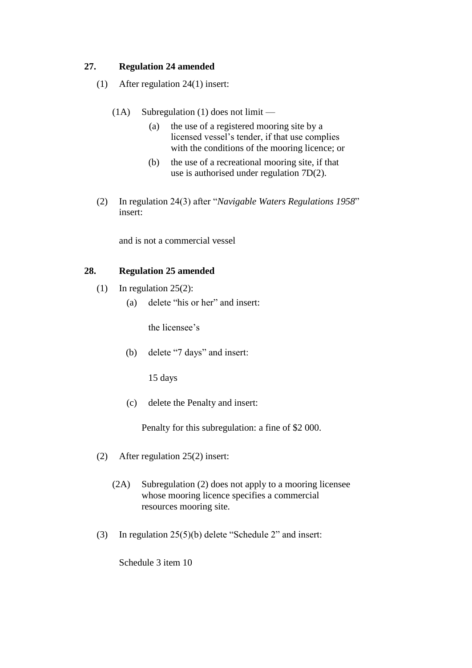## **27. Regulation 24 amended**

- (1) After regulation 24(1) insert:
	- (1A) Subregulation (1) does not limit
		- (a) the use of a registered mooring site by a licensed vessel's tender, if that use complies with the conditions of the mooring licence; or
		- (b) the use of a recreational mooring site, if that use is authorised under regulation 7D(2).
- (2) In regulation 24(3) after "*Navigable Waters Regulations 1958*" insert:

and is not a commercial vessel

## **28. Regulation 25 amended**

- (1) In regulation 25(2):
	- (a) delete "his or her" and insert:

the licensee's

(b) delete "7 days" and insert:

15 days

(c) delete the Penalty and insert:

Penalty for this subregulation: a fine of \$2 000.

- (2) After regulation 25(2) insert:
	- (2A) Subregulation (2) does not apply to a mooring licensee whose mooring licence specifies a commercial resources mooring site.
- (3) In regulation 25(5)(b) delete "Schedule 2" and insert:

Schedule 3 item 10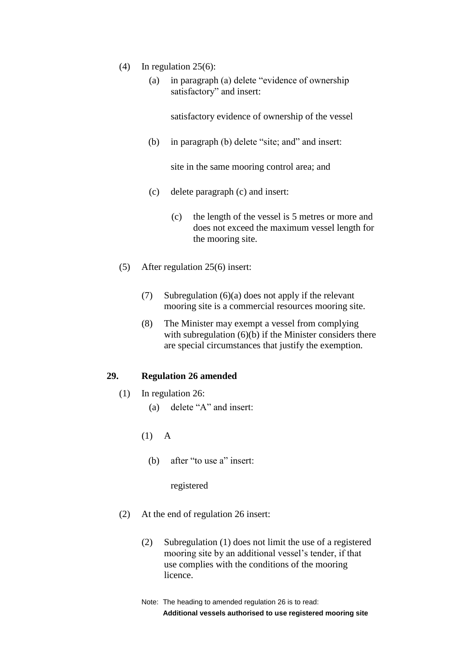- (4) In regulation 25(6):
	- (a) in paragraph (a) delete "evidence of ownership satisfactory" and insert:

satisfactory evidence of ownership of the vessel

(b) in paragraph (b) delete "site; and" and insert:

site in the same mooring control area; and

- (c) delete paragraph (c) and insert:
	- (c) the length of the vessel is 5 metres or more and does not exceed the maximum vessel length for the mooring site.
- (5) After regulation 25(6) insert:
	- (7) Subregulation (6)(a) does not apply if the relevant mooring site is a commercial resources mooring site.
	- (8) The Minister may exempt a vessel from complying with subregulation (6)(b) if the Minister considers there are special circumstances that justify the exemption.

#### **29. Regulation 26 amended**

- (1) In regulation 26:
	- (a) delete "A" and insert:
	- (1) A
		- (b) after "to use a" insert:

registered

- (2) At the end of regulation 26 insert:
	- (2) Subregulation (1) does not limit the use of a registered mooring site by an additional vessel's tender, if that use complies with the conditions of the mooring licence.
	- Note: The heading to amended regulation 26 is to read: **Additional vessels authorised to use registered mooring site**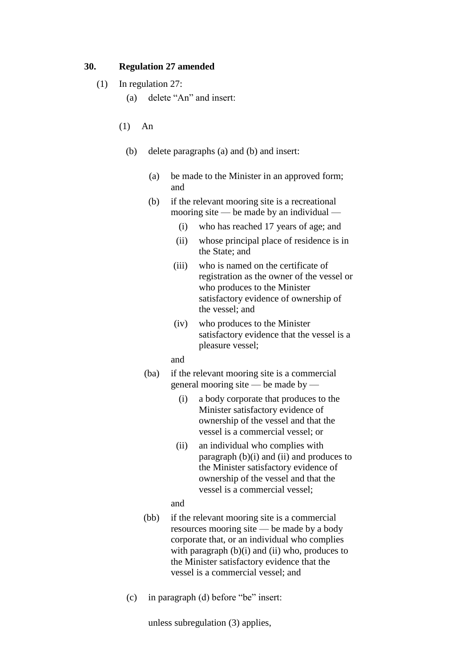## **30. Regulation 27 amended**

- (1) In regulation 27:
	- (a) delete "An" and insert:
	- (1) An
		- (b) delete paragraphs (a) and (b) and insert:
			- (a) be made to the Minister in an approved form; and
			- (b) if the relevant mooring site is a recreational mooring site — be made by an individual —
				- (i) who has reached 17 years of age; and
				- (ii) whose principal place of residence is in the State; and
				- (iii) who is named on the certificate of registration as the owner of the vessel or who produces to the Minister satisfactory evidence of ownership of the vessel; and
				- (iv) who produces to the Minister satisfactory evidence that the vessel is a pleasure vessel;
				- and
			- (ba) if the relevant mooring site is a commercial general mooring site — be made by —
				- (i) a body corporate that produces to the Minister satisfactory evidence of ownership of the vessel and that the vessel is a commercial vessel; or
				- (ii) an individual who complies with paragraph  $(b)(i)$  and  $(ii)$  and produces to the Minister satisfactory evidence of ownership of the vessel and that the vessel is a commercial vessel;

and

- (bb) if the relevant mooring site is a commercial resources mooring site — be made by a body corporate that, or an individual who complies with paragraph  $(b)(i)$  and  $(ii)$  who, produces to the Minister satisfactory evidence that the vessel is a commercial vessel; and
- (c) in paragraph (d) before "be" insert:

unless subregulation (3) applies,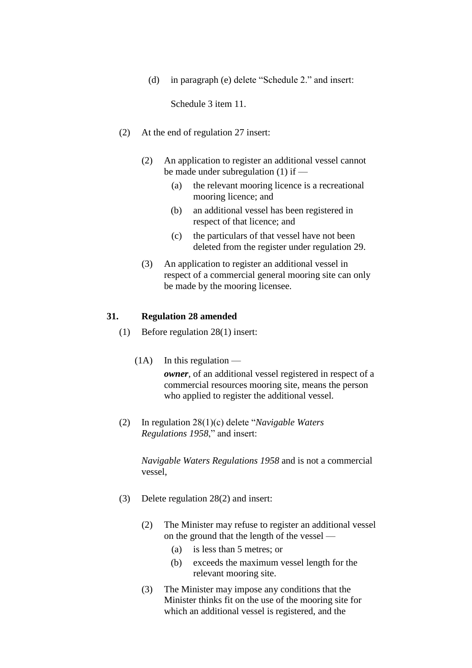(d) in paragraph (e) delete "Schedule 2." and insert:

Schedule 3 item 11.

- (2) At the end of regulation 27 insert:
	- (2) An application to register an additional vessel cannot be made under subregulation (1) if —
		- (a) the relevant mooring licence is a recreational mooring licence; and
		- (b) an additional vessel has been registered in respect of that licence; and
		- (c) the particulars of that vessel have not been deleted from the register under regulation 29.
	- (3) An application to register an additional vessel in respect of a commercial general mooring site can only be made by the mooring licensee.

#### **31. Regulation 28 amended**

- (1) Before regulation 28(1) insert:
	- $(1A)$  In this regulation *owner*, of an additional vessel registered in respect of a commercial resources mooring site, means the person who applied to register the additional vessel.
- (2) In regulation 28(1)(c) delete "*Navigable Waters Regulations 1958*," and insert:

*Navigable Waters Regulations 1958* and is not a commercial vessel,

- (3) Delete regulation 28(2) and insert:
	- (2) The Minister may refuse to register an additional vessel on the ground that the length of the vessel —
		- (a) is less than 5 metres; or
		- (b) exceeds the maximum vessel length for the relevant mooring site.
	- (3) The Minister may impose any conditions that the Minister thinks fit on the use of the mooring site for which an additional vessel is registered, and the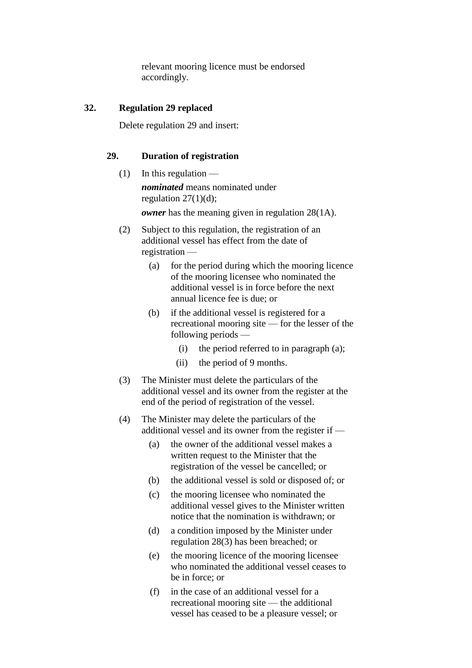relevant mooring licence must be endorsed accordingly.

## **32. Regulation 29 replaced**

Delete regulation 29 and insert:

## **29. Duration of registration**

- $(1)$  In this regulation *nominated* means nominated under regulation  $27(1)(d)$ ; *owner* has the meaning given in regulation 28(1A).
- (2) Subject to this regulation, the registration of an additional vessel has effect from the date of registration —
	- (a) for the period during which the mooring licence of the mooring licensee who nominated the additional vessel is in force before the next annual licence fee is due; or
	- (b) if the additional vessel is registered for a recreational mooring site — for the lesser of the following periods —
		- (i) the period referred to in paragraph (a);
		- (ii) the period of 9 months.
- (3) The Minister must delete the particulars of the additional vessel and its owner from the register at the end of the period of registration of the vessel.
- (4) The Minister may delete the particulars of the additional vessel and its owner from the register if —
	- (a) the owner of the additional vessel makes a written request to the Minister that the registration of the vessel be cancelled; or
	- (b) the additional vessel is sold or disposed of; or
	- (c) the mooring licensee who nominated the additional vessel gives to the Minister written notice that the nomination is withdrawn; or
	- (d) a condition imposed by the Minister under regulation 28(3) has been breached; or
	- (e) the mooring licence of the mooring licensee who nominated the additional vessel ceases to be in force; or
	- (f) in the case of an additional vessel for a recreational mooring site — the additional vessel has ceased to be a pleasure vessel; or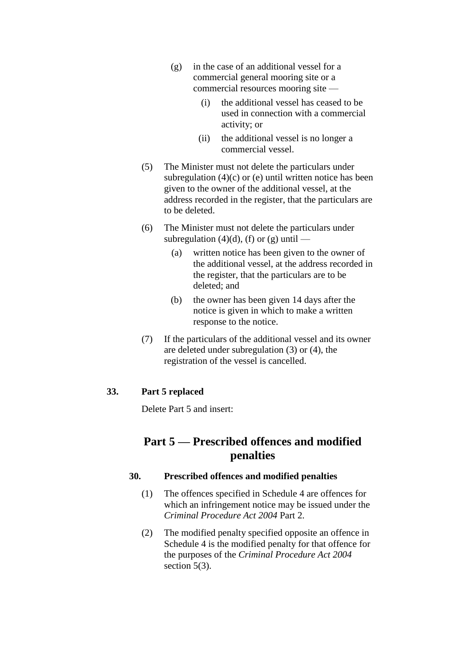- (g) in the case of an additional vessel for a commercial general mooring site or a commercial resources mooring site —
	- (i) the additional vessel has ceased to be used in connection with a commercial activity; or
	- (ii) the additional vessel is no longer a commercial vessel.
- (5) The Minister must not delete the particulars under subregulation  $(4)(c)$  or  $(e)$  until written notice has been given to the owner of the additional vessel, at the address recorded in the register, that the particulars are to be deleted.
- (6) The Minister must not delete the particulars under subregulation (4)(d), (f) or (g) until  $-$ 
	- (a) written notice has been given to the owner of the additional vessel, at the address recorded in the register, that the particulars are to be deleted; and
	- (b) the owner has been given 14 days after the notice is given in which to make a written response to the notice.
- (7) If the particulars of the additional vessel and its owner are deleted under subregulation (3) or (4), the registration of the vessel is cancelled.

## **33. Part 5 replaced**

Delete Part 5 and insert:

## **Part 5 — Prescribed offences and modified penalties**

## **30. Prescribed offences and modified penalties**

- (1) The offences specified in Schedule 4 are offences for which an infringement notice may be issued under the *Criminal Procedure Act 2004* Part 2.
- (2) The modified penalty specified opposite an offence in Schedule 4 is the modified penalty for that offence for the purposes of the *Criminal Procedure Act 2004* section 5(3).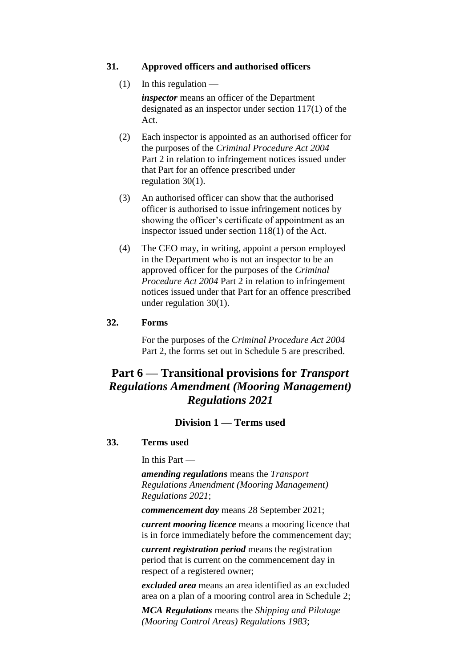#### **31. Approved officers and authorised officers**

 $(1)$  In this regulation —

*inspector* means an officer of the Department designated as an inspector under section 117(1) of the Act.

- (2) Each inspector is appointed as an authorised officer for the purposes of the *Criminal Procedure Act 2004* Part 2 in relation to infringement notices issued under that Part for an offence prescribed under regulation 30(1).
- (3) An authorised officer can show that the authorised officer is authorised to issue infringement notices by showing the officer's certificate of appointment as an inspector issued under section 118(1) of the Act.
- (4) The CEO may, in writing, appoint a person employed in the Department who is not an inspector to be an approved officer for the purposes of the *Criminal Procedure Act 2004* Part 2 in relation to infringement notices issued under that Part for an offence prescribed under regulation 30(1).

#### **32. Forms**

For the purposes of the *Criminal Procedure Act 2004* Part 2, the forms set out in Schedule 5 are prescribed.

## **Part 6 — Transitional provisions for** *Transport Regulations Amendment (Mooring Management) Regulations 2021*

## **Division 1 — Terms used**

#### **33. Terms used**

In this Part —

*amending regulations* means the *Transport Regulations Amendment (Mooring Management) Regulations 2021*;

*commencement day* means 28 September 2021;

*current mooring licence* means a mooring licence that is in force immediately before the commencement day;

*current registration period* means the registration period that is current on the commencement day in respect of a registered owner;

*excluded area* means an area identified as an excluded area on a plan of a mooring control area in Schedule 2;

*MCA Regulations* means the *Shipping and Pilotage (Mooring Control Areas) Regulations 1983*;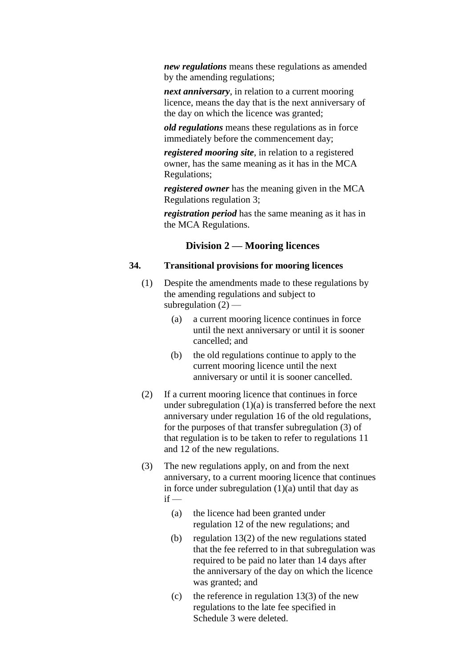*new regulations* means these regulations as amended by the amending regulations;

*next anniversary*, in relation to a current mooring licence, means the day that is the next anniversary of the day on which the licence was granted;

*old regulations* means these regulations as in force immediately before the commencement day;

*registered mooring site*, in relation to a registered owner, has the same meaning as it has in the MCA Regulations;

*registered owner* has the meaning given in the MCA Regulations regulation 3;

*registration period* has the same meaning as it has in the MCA Regulations.

#### **Division 2 — Mooring licences**

## **34. Transitional provisions for mooring licences**

- (1) Despite the amendments made to these regulations by the amending regulations and subject to subregulation (2) —
	- (a) a current mooring licence continues in force until the next anniversary or until it is sooner cancelled; and
	- (b) the old regulations continue to apply to the current mooring licence until the next anniversary or until it is sooner cancelled.
- (2) If a current mooring licence that continues in force under subregulation  $(1)(a)$  is transferred before the next anniversary under regulation 16 of the old regulations, for the purposes of that transfer subregulation (3) of that regulation is to be taken to refer to regulations 11 and 12 of the new regulations.
- (3) The new regulations apply, on and from the next anniversary, to a current mooring licence that continues in force under subregulation  $(1)(a)$  until that day as  $if -$ 
	- (a) the licence had been granted under regulation 12 of the new regulations; and
	- (b) regulation 13(2) of the new regulations stated that the fee referred to in that subregulation was required to be paid no later than 14 days after the anniversary of the day on which the licence was granted; and
	- (c) the reference in regulation  $13(3)$  of the new regulations to the late fee specified in Schedule 3 were deleted.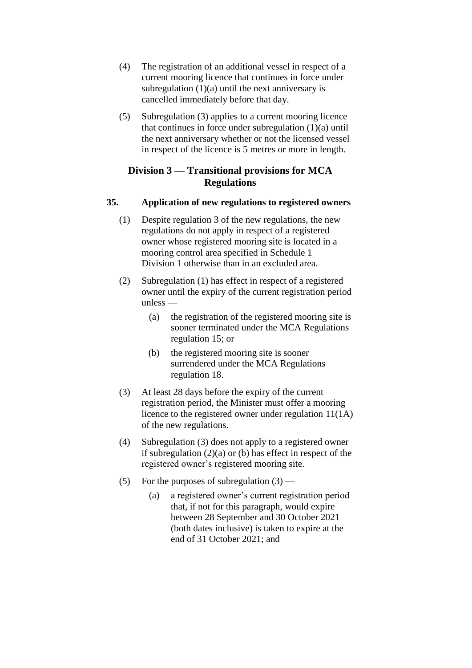- (4) The registration of an additional vessel in respect of a current mooring licence that continues in force under subregulation  $(1)(a)$  until the next anniversary is cancelled immediately before that day.
- (5) Subregulation (3) applies to a current mooring licence that continues in force under subregulation (1)(a) until the next anniversary whether or not the licensed vessel in respect of the licence is 5 metres or more in length.

## **Division 3 — Transitional provisions for MCA Regulations**

## **35. Application of new regulations to registered owners**

- (1) Despite regulation 3 of the new regulations, the new regulations do not apply in respect of a registered owner whose registered mooring site is located in a mooring control area specified in Schedule 1 Division 1 otherwise than in an excluded area.
- (2) Subregulation (1) has effect in respect of a registered owner until the expiry of the current registration period unless —
	- (a) the registration of the registered mooring site is sooner terminated under the MCA Regulations regulation 15; or
	- (b) the registered mooring site is sooner surrendered under the MCA Regulations regulation 18.
- (3) At least 28 days before the expiry of the current registration period, the Minister must offer a mooring licence to the registered owner under regulation 11(1A) of the new regulations.
- (4) Subregulation (3) does not apply to a registered owner if subregulation (2)(a) or (b) has effect in respect of the registered owner's registered mooring site.
- (5) For the purposes of subregulation  $(3)$ 
	- (a) a registered owner's current registration period that, if not for this paragraph, would expire between 28 September and 30 October 2021 (both dates inclusive) is taken to expire at the end of 31 October 2021; and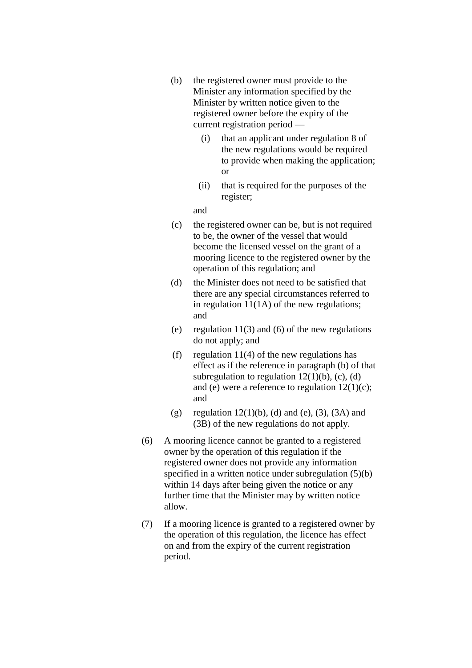- (b) the registered owner must provide to the Minister any information specified by the Minister by written notice given to the registered owner before the expiry of the current registration period —
	- (i) that an applicant under regulation 8 of the new regulations would be required to provide when making the application; or
	- (ii) that is required for the purposes of the register;

and

- (c) the registered owner can be, but is not required to be, the owner of the vessel that would become the licensed vessel on the grant of a mooring licence to the registered owner by the operation of this regulation; and
- (d) the Minister does not need to be satisfied that there are any special circumstances referred to in regulation 11(1A) of the new regulations; and
- (e) regulation  $11(3)$  and (6) of the new regulations do not apply; and
- (f) regulation  $11(4)$  of the new regulations has effect as if the reference in paragraph (b) of that subregulation to regulation  $12(1)(b)$ , (c), (d) and (e) were a reference to regulation  $12(1)(c)$ ; and
- (g) regulation  $12(1)(b)$ , (d) and (e), (3), (3A) and (3B) of the new regulations do not apply.
- (6) A mooring licence cannot be granted to a registered owner by the operation of this regulation if the registered owner does not provide any information specified in a written notice under subregulation (5)(b) within 14 days after being given the notice or any further time that the Minister may by written notice allow.
- (7) If a mooring licence is granted to a registered owner by the operation of this regulation, the licence has effect on and from the expiry of the current registration period.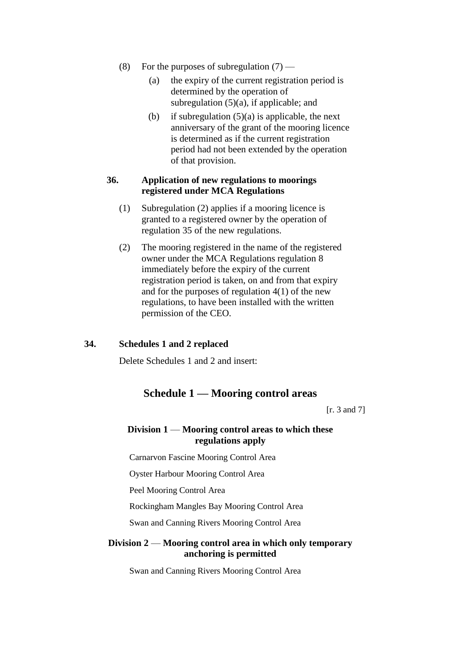- (8) For the purposes of subregulation  $(7)$ 
	- (a) the expiry of the current registration period is determined by the operation of subregulation  $(5)(a)$ , if applicable; and
	- (b) if subregulation  $(5)(a)$  is applicable, the next anniversary of the grant of the mooring licence is determined as if the current registration period had not been extended by the operation of that provision.

#### **36. Application of new regulations to moorings registered under MCA Regulations**

- (1) Subregulation (2) applies if a mooring licence is granted to a registered owner by the operation of regulation 35 of the new regulations.
- (2) The mooring registered in the name of the registered owner under the MCA Regulations regulation 8 immediately before the expiry of the current registration period is taken, on and from that expiry and for the purposes of regulation 4(1) of the new regulations, to have been installed with the written permission of the CEO.

## **34. Schedules 1 and 2 replaced**

Delete Schedules 1 and 2 and insert:

## **Schedule 1 — Mooring control areas**

[r. 3 and 7]

## **Division 1** — **Mooring control areas to which these regulations apply**

Carnarvon Fascine Mooring Control Area

Oyster Harbour Mooring Control Area

Peel Mooring Control Area

Rockingham Mangles Bay Mooring Control Area

Swan and Canning Rivers Mooring Control Area

## **Division 2** — **Mooring control area in which only temporary anchoring is permitted**

Swan and Canning Rivers Mooring Control Area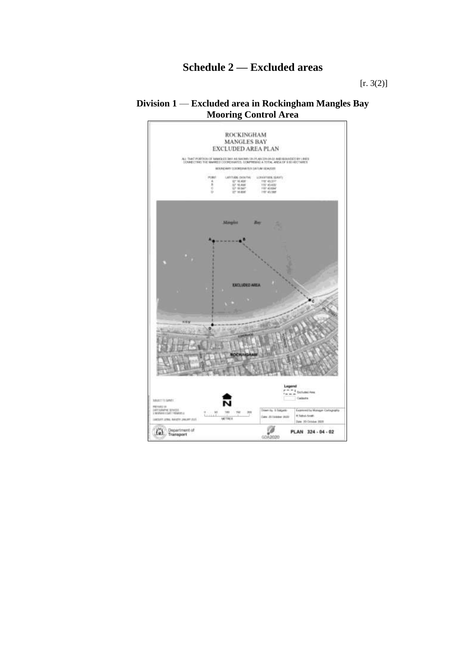# **Schedule 2 — Excluded areas**

[r. 3(2)]

## **Division 1** — **Excluded area in Rockingham Mangles Bay Mooring Control Area**

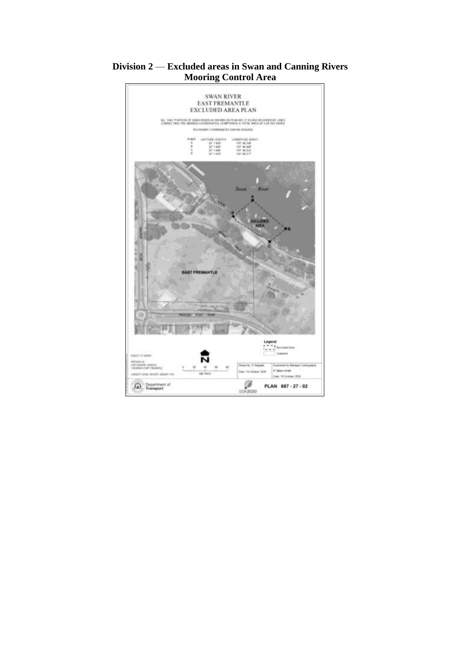

## **Division 2** — **Excluded areas in Swan and Canning Rivers Mooring Control Area**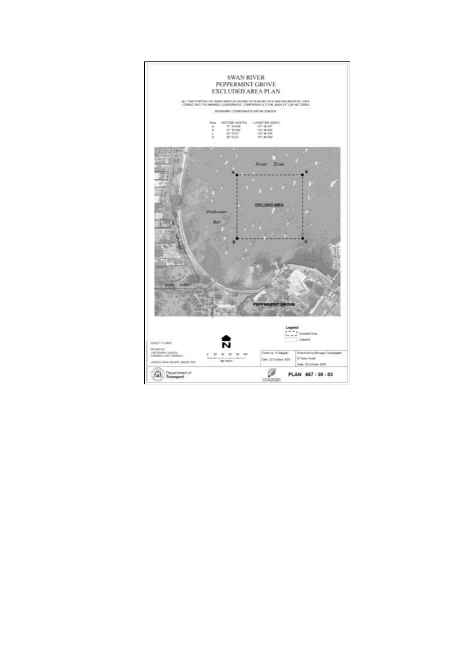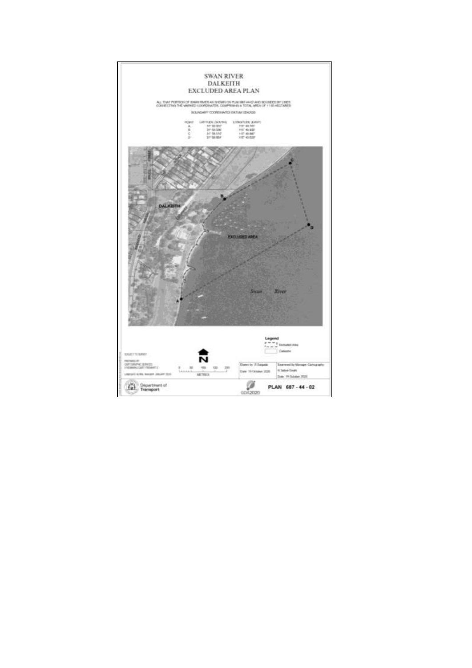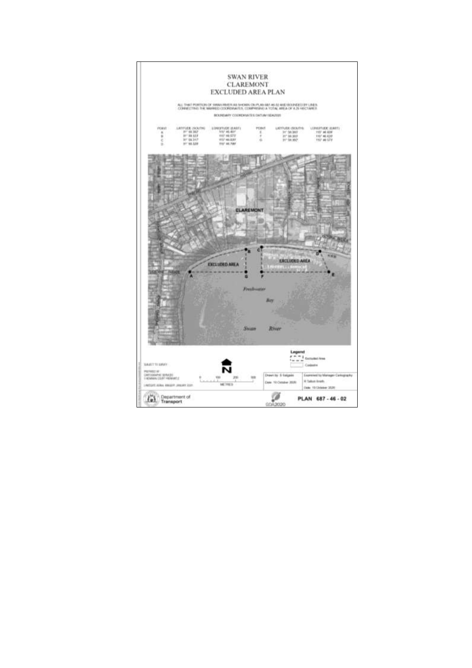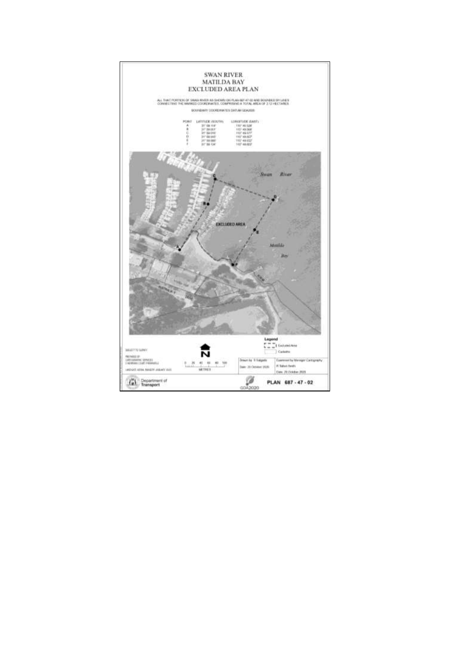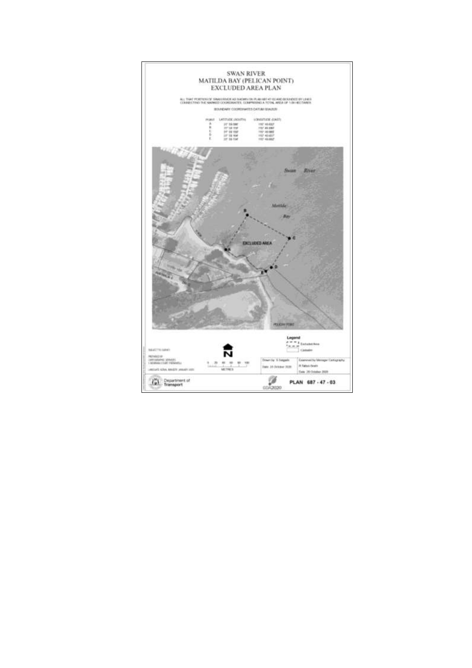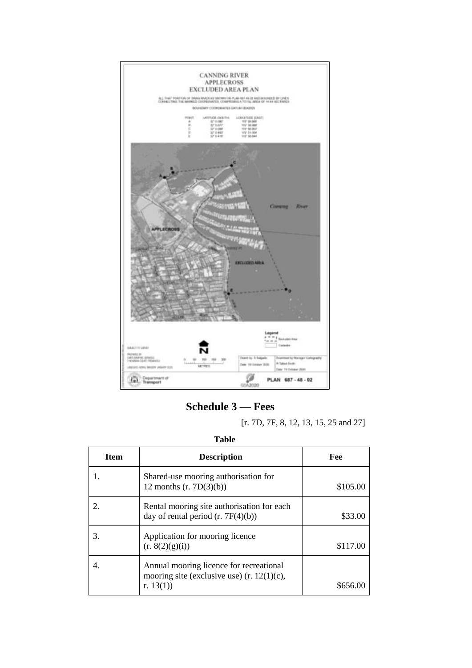

**Schedule 3 — Fees**

[r. 7D, 7F, 8, 12, 13, 15, 25 and 27]

**Table**

| Item | <b>Description</b>                                                                                      | Fee      |
|------|---------------------------------------------------------------------------------------------------------|----------|
|      | Shared-use mooring authorisation for<br>12 months $(r. 7D(3)(b))$                                       | \$105.00 |
|      | Rental mooring site authorisation for each<br>day of rental period $(r. 7F(4)(b))$                      | \$33.00  |
| 3.   | Application for mooring licence<br>(r. 8(2)(g)(i))                                                      | \$117.00 |
|      | Annual mooring licence for recreational<br>mooring site (exclusive use) $(r. 12(1)(c))$ ,<br>r. $13(1)$ | 8656     |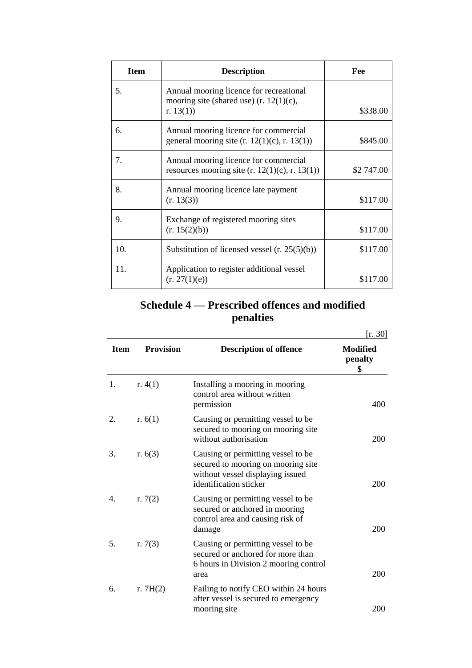| <b>Item</b> | <b>Description</b>                                                                                    | Fee        |
|-------------|-------------------------------------------------------------------------------------------------------|------------|
| 5.          | Annual mooring licence for recreational<br>mooring site (shared use) (r. $12(1)(c)$ ,<br>r. $13(1)$ ) | \$338.00   |
| 6.          | Annual mooring licence for commercial<br>general mooring site $(r. 12(1)(c), r. 13(1))$               | \$845.00   |
| 7.          | Annual mooring licence for commercial<br>resources mooring site $(r. 12(1)(c), r. 13(1))$             | \$2 747.00 |
| 8.          | Annual mooring licence late payment<br>(r. 13(3))                                                     | \$117.00   |
| 9.          | Exchange of registered mooring sites<br>(r. 15(2)(b))                                                 | \$117.00   |
| 10.         | Substitution of licensed vessel $(r. 25(5)(b))$                                                       | \$117.00   |
| 11.         | Application to register additional vessel<br>(r. 27(1)(e))                                            | \$117.00   |

# **Schedule 4 — Prescribed offences and modified penalties**

|             |                  |                                                                                                                                        | [r. 30]                          |
|-------------|------------------|----------------------------------------------------------------------------------------------------------------------------------------|----------------------------------|
| <b>Item</b> | <b>Provision</b> | <b>Description of offence</b>                                                                                                          | <b>Modified</b><br>penalty<br>\$ |
| 1.          | r. $4(1)$        | Installing a mooring in mooring<br>control area without written<br>permission                                                          | 400                              |
| 2.          | r. $6(1)$        | Causing or permitting vessel to be<br>secured to mooring on mooring site<br>without authorisation                                      | 200                              |
| 3.          | r. $6(3)$        | Causing or permitting vessel to be<br>secured to mooring on mooring site<br>without vessel displaying issued<br>identification sticker | 200                              |
| 4.          | r. $7(2)$        | Causing or permitting vessel to be<br>secured or anchored in mooring<br>control area and causing risk of<br>damage                     | 200                              |
| 5.          | r. $7(3)$        | Causing or permitting vessel to be<br>secured or anchored for more than<br>6 hours in Division 2 mooring control<br>area               | 200                              |
| 6.          | r. $7H(2)$       | Failing to notify CEO within 24 hours<br>after vessel is secured to emergency<br>mooring site                                          | 200                              |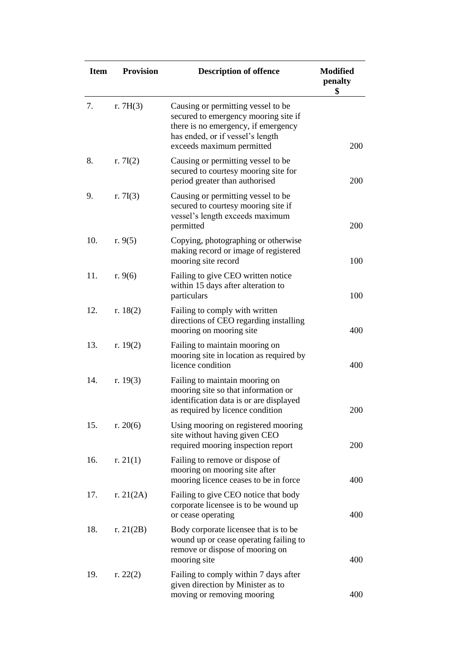| <b>Item</b> | <b>Provision</b> | <b>Description of offence</b>                                                                                                                                                      | <b>Modified</b><br>penalty<br>\$ |
|-------------|------------------|------------------------------------------------------------------------------------------------------------------------------------------------------------------------------------|----------------------------------|
| 7.          | r. $7H(3)$       | Causing or permitting vessel to be<br>secured to emergency mooring site if<br>there is no emergency, if emergency<br>has ended, or if vessel's length<br>exceeds maximum permitted | 200                              |
| 8.          | r. $7I(2)$       | Causing or permitting vessel to be<br>secured to courtesy mooring site for<br>period greater than authorised                                                                       | <b>200</b>                       |
| 9.          | r. $7I(3)$       | Causing or permitting vessel to be<br>secured to courtesy mooring site if<br>vessel's length exceeds maximum<br>permitted                                                          | 200                              |
| 10.         | r. $9(5)$        | Copying, photographing or otherwise<br>making record or image of registered<br>mooring site record                                                                                 | 100                              |
| 11.         | r. $9(6)$        | Failing to give CEO written notice<br>within 15 days after alteration to<br>particulars                                                                                            | 100                              |
| 12.         | r. $18(2)$       | Failing to comply with written<br>directions of CEO regarding installing<br>mooring on mooring site                                                                                | 400                              |
| 13.         | r. $19(2)$       | Failing to maintain mooring on<br>mooring site in location as required by<br>licence condition                                                                                     | 400                              |
| 14.         | r. $19(3)$       | Failing to maintain mooring on<br>mooring site so that information or<br>identification data is or are displayed<br>as required by licence condition                               | 200                              |
| 15.         | r. $20(6)$       | Using mooring on registered mooring<br>site without having given CEO<br>required mooring inspection report                                                                         | 200                              |
| 16.         | r. $21(1)$       | Failing to remove or dispose of<br>mooring on mooring site after<br>mooring licence ceases to be in force                                                                          | 400                              |
| 17.         | r. $21(2A)$      | Failing to give CEO notice that body<br>corporate licensee is to be wound up<br>or cease operating                                                                                 | 400                              |
| 18.         | r. $21(2B)$      | Body corporate licensee that is to be<br>wound up or cease operating failing to<br>remove or dispose of mooring on<br>mooring site                                                 | 400                              |
| 19.         | r. $22(2)$       | Failing to comply within 7 days after<br>given direction by Minister as to<br>moving or removing mooring                                                                           | 400                              |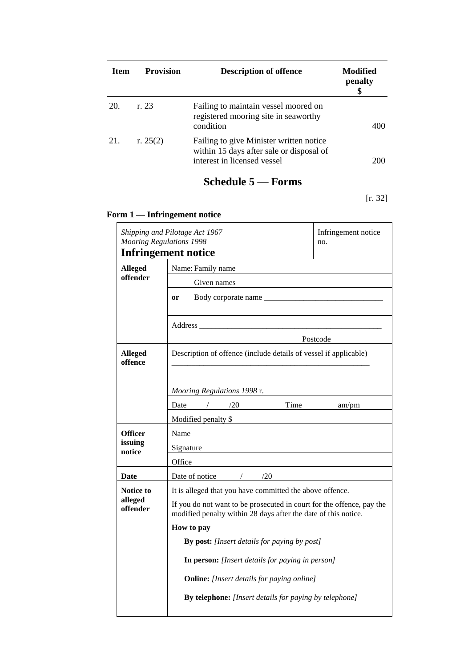| <b>Item</b> | <b>Provision</b> | <b>Description of offence</b>                                                                                      | Modified<br>penalty |
|-------------|------------------|--------------------------------------------------------------------------------------------------------------------|---------------------|
| 20.         | r.23             | Failing to maintain vessel moored on<br>registered mooring site in seaworthy<br>condition                          | 400                 |
| 21.         | r. $25(2)$       | Failing to give Minister written notice<br>within 15 days after sale or disposal of<br>interest in licensed vessel | 200                 |

# **Schedule 5 — Forms**

[r. 32]

# **Form 1 — Infringement notice**

| Shipping and Pilotage Act 1967<br><b>Mooring Regulations 1998</b> |                                                                                                                                         | Infringement notice<br>no. |  |
|-------------------------------------------------------------------|-----------------------------------------------------------------------------------------------------------------------------------------|----------------------------|--|
|                                                                   | <b>Infringement notice</b>                                                                                                              |                            |  |
| <b>Alleged</b>                                                    | Name: Family name                                                                                                                       |                            |  |
| offender                                                          | Given names                                                                                                                             |                            |  |
|                                                                   | Body corporate name<br>or                                                                                                               |                            |  |
|                                                                   |                                                                                                                                         |                            |  |
|                                                                   | Postcode                                                                                                                                |                            |  |
| <b>Alleged</b><br>offence                                         | Description of offence (include details of vessel if applicable)                                                                        |                            |  |
|                                                                   | Mooring Regulations 1998 r.                                                                                                             |                            |  |
|                                                                   | Date<br>/20<br>Time                                                                                                                     | am/pm                      |  |
|                                                                   | Modified penalty \$                                                                                                                     |                            |  |
| Officer                                                           | Name                                                                                                                                    |                            |  |
| issuing<br>notice                                                 | Signature                                                                                                                               |                            |  |
|                                                                   | Office                                                                                                                                  |                            |  |
| Date                                                              | Date of notice<br>/20<br>$\sqrt{2}$                                                                                                     |                            |  |
| <b>Notice to</b>                                                  | It is alleged that you have committed the above offence.                                                                                |                            |  |
| alleged<br>offender                                               | If you do not want to be prosecuted in court for the offence, pay the<br>modified penalty within 28 days after the date of this notice. |                            |  |
|                                                                   | How to pay                                                                                                                              |                            |  |
|                                                                   | By post: [Insert details for paying by post]                                                                                            |                            |  |
|                                                                   | In person: [Insert details for paying in person]                                                                                        |                            |  |
|                                                                   | <b>Online:</b> [Insert details for paying online]                                                                                       |                            |  |
|                                                                   | <b>By telephone:</b> [Insert details for paying by telephone]                                                                           |                            |  |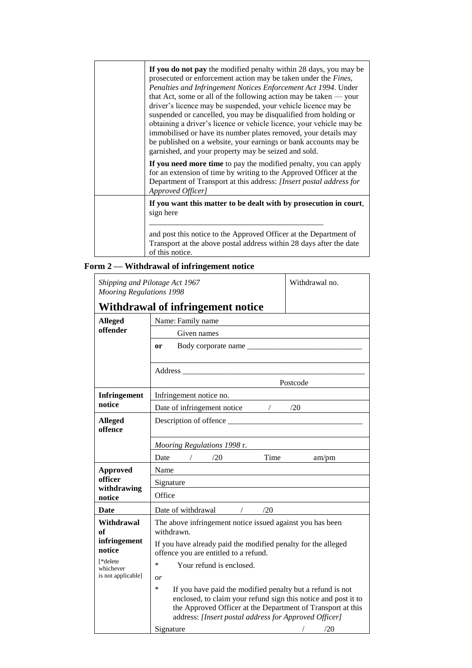| If you do not pay the modified penalty within 28 days, you may be<br>prosecuted or enforcement action may be taken under the <i>Fines</i> ,<br>Penalties and Infringement Notices Enforcement Act 1994. Under<br>that Act, some or all of the following action may be taken $-$ your<br>driver's licence may be suspended, your vehicle licence may be<br>suspended or cancelled, you may be disqualified from holding or<br>obtaining a driver's licence or vehicle licence, your vehicle may be<br>immobilised or have its number plates removed, your details may<br>be published on a website, your earnings or bank accounts may be<br>garnished, and your property may be seized and sold. |  |
|--------------------------------------------------------------------------------------------------------------------------------------------------------------------------------------------------------------------------------------------------------------------------------------------------------------------------------------------------------------------------------------------------------------------------------------------------------------------------------------------------------------------------------------------------------------------------------------------------------------------------------------------------------------------------------------------------|--|
| If you need more time to pay the modified penalty, you can apply<br>for an extension of time by writing to the Approved Officer at the<br>Department of Transport at this address: [Insert postal address for<br>Approved Officer]                                                                                                                                                                                                                                                                                                                                                                                                                                                               |  |
| If you want this matter to be dealt with by prosecution in court,<br>sign here                                                                                                                                                                                                                                                                                                                                                                                                                                                                                                                                                                                                                   |  |
| and post this notice to the Approved Officer at the Department of<br>Transport at the above postal address within 28 days after the date<br>of this notice.                                                                                                                                                                                                                                                                                                                                                                                                                                                                                                                                      |  |

# **Form 2 — Withdrawal of infringement notice**

| Shipping and Pilotage Act 1967<br><b>Mooring Regulations 1998</b> |                                                                                                                                                                                                                                                                                            | Withdrawal no. |  |  |
|-------------------------------------------------------------------|--------------------------------------------------------------------------------------------------------------------------------------------------------------------------------------------------------------------------------------------------------------------------------------------|----------------|--|--|
|                                                                   | Withdrawal of infringement notice                                                                                                                                                                                                                                                          |                |  |  |
| <b>Alleged</b>                                                    | Name: Family name                                                                                                                                                                                                                                                                          |                |  |  |
| offender                                                          | Given names                                                                                                                                                                                                                                                                                |                |  |  |
|                                                                   | Body corporate name<br><b>or</b>                                                                                                                                                                                                                                                           |                |  |  |
|                                                                   |                                                                                                                                                                                                                                                                                            |                |  |  |
|                                                                   |                                                                                                                                                                                                                                                                                            |                |  |  |
|                                                                   | Postcode                                                                                                                                                                                                                                                                                   |                |  |  |
| <b>Infringement</b>                                               | Infringement notice no.                                                                                                                                                                                                                                                                    |                |  |  |
| notice                                                            | Date of infringement notice / / /20                                                                                                                                                                                                                                                        |                |  |  |
| <b>Alleged</b><br>offence                                         | Description of offence                                                                                                                                                                                                                                                                     |                |  |  |
|                                                                   | Mooring Regulations 1998 r.                                                                                                                                                                                                                                                                |                |  |  |
|                                                                   | Time<br>Date<br>/20                                                                                                                                                                                                                                                                        | am/pm          |  |  |
| <b>Approved</b>                                                   | Name                                                                                                                                                                                                                                                                                       |                |  |  |
| officer<br>withdrawing                                            | Signature                                                                                                                                                                                                                                                                                  |                |  |  |
| notice                                                            | Office                                                                                                                                                                                                                                                                                     |                |  |  |
| Date                                                              | Date of withdrawal<br>/20<br>$\sqrt{2}$                                                                                                                                                                                                                                                    |                |  |  |
| Withdrawal<br>of                                                  | The above infringement notice issued against you has been<br>withdrawn.                                                                                                                                                                                                                    |                |  |  |
| infringement<br>notice                                            | If you have already paid the modified penalty for the alleged<br>offence you are entitled to a refund.                                                                                                                                                                                     |                |  |  |
| [*delete<br>whichever                                             | *<br>Your refund is enclosed.                                                                                                                                                                                                                                                              |                |  |  |
| is not applicable]                                                | or                                                                                                                                                                                                                                                                                         |                |  |  |
|                                                                   | *<br>If you have paid the modified penalty but a refund is not<br>enclosed, to claim your refund sign this notice and post it to<br>the Approved Officer at the Department of Transport at this<br>address: [Insert postal address for Approved Officer]<br>Signature<br>/20<br>$\sqrt{2}$ |                |  |  |